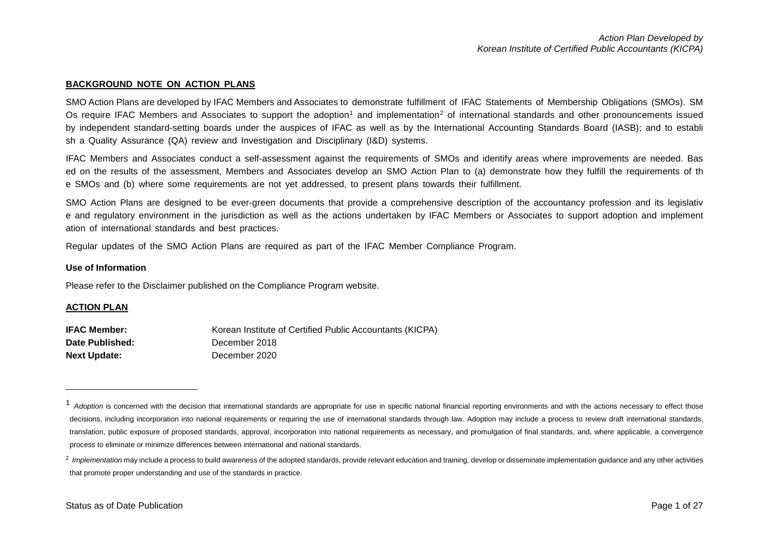#### <span id="page-0-1"></span><span id="page-0-0"></span>**BACKGROUND NOTE ON ACTION PLANS**

SMO Action Plans are developed by IFAC Members and Associates to demonstrate fulfillment of IFAC Statements of Membership Obligations (SMOs). SM Os require IFAC Members and Associates to support the adoption<sup>[1](#page-0-0)</sup> and implementation<sup>[2](#page-0-1)</sup> of international standards and other pronouncements issued by independent standard-setting boards under the auspices of IFAC as well as by the International Accounting Standards Board (IASB); and to establi sh a Quality Assurance (QA) review and Investigation and Disciplinary (I&D) systems.

IFAC Members and Associates conduct a self-assessment against the requirements of SMOs and identify areas where improvements are needed. Bas ed on the results of the assessment, Members and Associates develop an SMO Action Plan to (a) demonstrate how they fulfill the requirements of th e SMOs and (b) where some requirements are not yet addressed, to present plans towards their fulfillment.

SMO Action Plans are designed to be ever-green documents that provide a comprehensive description of the accountancy profession and its legislativ e and regulatory environment in the jurisdiction as well as the actions undertaken by IFAC Members or Associates to support adoption and implement ation of international standards and best practices.

Regular updates of the SMO Action Plans are required as part of the IFAC Member Compliance Program.

#### **Use of Information**

Please refer to the Disclaimer published on the Compliance Program website.

#### **ACTION PLAN**

l

| IFAC Member:           | Korean Institute of Certified Public Accountants (KICPA) |
|------------------------|----------------------------------------------------------|
| <b>Date Published:</b> | December 2018                                            |
| Next Update:           | December 2020                                            |

<sup>&</sup>lt;sup>1</sup> Adoption is concerned with the decision that international standards are appropriate for use in specific national financial reporting environments and with the actions necessary to effect those decisions, including incorporation into national requirements or requiring the use of international standards through law. Adoption may include a process to review draft international standards, translation, public exposure of proposed standards, approval, incorporation into national requirements as necessary, and promulgation of final standards, and, where applicable, a convergence process to eliminate or minimize differences between international and national standards.

<sup>&</sup>lt;sup>2</sup> Implementation may include a process to build awareness of the adopted standards, provide relevant education and training, develop or disseminate implementation quidance and any other activities that promote proper understanding and use of the standards in practice.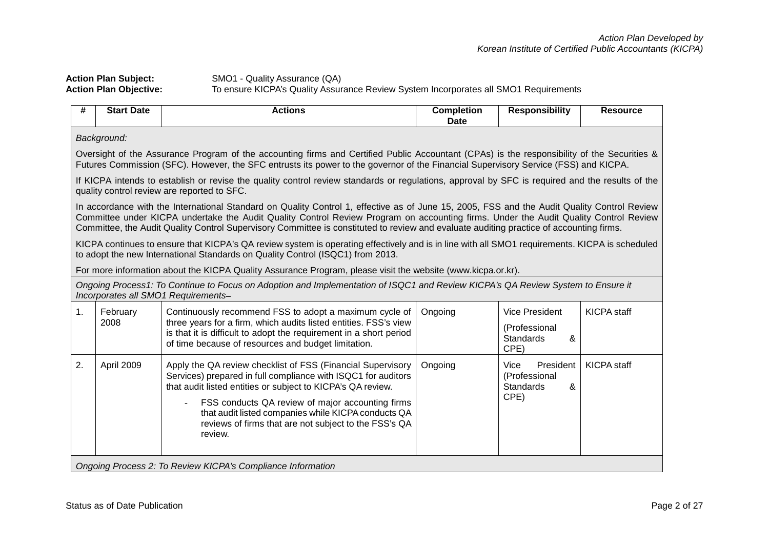**Action Plan Subject:** SMO1 - Quality Assurance (QA) **Action Plan Objective:** To ensure KICPA's Quality Assurance Review System Incorporates all SMO1 Requirements

| #  | <b>Start Date</b>                                                                                                                                                                                                                                                                                                                                                                                                              | <b>Actions</b>                                                                                                                                                                                                                                                                                                                                                             | <b>Completion</b><br><b>Date</b> | <b>Responsibility</b>                                                   | <b>Resource</b>    |  |  |
|----|--------------------------------------------------------------------------------------------------------------------------------------------------------------------------------------------------------------------------------------------------------------------------------------------------------------------------------------------------------------------------------------------------------------------------------|----------------------------------------------------------------------------------------------------------------------------------------------------------------------------------------------------------------------------------------------------------------------------------------------------------------------------------------------------------------------------|----------------------------------|-------------------------------------------------------------------------|--------------------|--|--|
|    | Background:                                                                                                                                                                                                                                                                                                                                                                                                                    |                                                                                                                                                                                                                                                                                                                                                                            |                                  |                                                                         |                    |  |  |
|    | Oversight of the Assurance Program of the accounting firms and Certified Public Accountant (CPAs) is the responsibility of the Securities &<br>Futures Commission (SFC). However, the SFC entrusts its power to the governor of the Financial Supervisory Service (FSS) and KICPA.                                                                                                                                             |                                                                                                                                                                                                                                                                                                                                                                            |                                  |                                                                         |                    |  |  |
|    |                                                                                                                                                                                                                                                                                                                                                                                                                                | If KICPA intends to establish or revise the quality control review standards or regulations, approval by SFC is required and the results of the<br>quality control review are reported to SFC.                                                                                                                                                                             |                                  |                                                                         |                    |  |  |
|    | In accordance with the International Standard on Quality Control 1, effective as of June 15, 2005, FSS and the Audit Quality Control Review<br>Committee under KICPA undertake the Audit Quality Control Review Program on accounting firms. Under the Audit Quality Control Review<br>Committee, the Audit Quality Control Supervisory Committee is constituted to review and evaluate auditing practice of accounting firms. |                                                                                                                                                                                                                                                                                                                                                                            |                                  |                                                                         |                    |  |  |
|    |                                                                                                                                                                                                                                                                                                                                                                                                                                | KICPA continues to ensure that KICPA's QA review system is operating effectively and is in line with all SMO1 requirements. KICPA is scheduled<br>to adopt the new International Standards on Quality Control (ISQC1) from 2013.                                                                                                                                           |                                  |                                                                         |                    |  |  |
|    |                                                                                                                                                                                                                                                                                                                                                                                                                                | For more information about the KICPA Quality Assurance Program, please visit the website (www.kicpa.or.kr).                                                                                                                                                                                                                                                                |                                  |                                                                         |                    |  |  |
|    |                                                                                                                                                                                                                                                                                                                                                                                                                                | Ongoing Process1: To Continue to Focus on Adoption and Implementation of ISQC1 and Review KICPA's QA Review System to Ensure it<br>Incorporates all SMO1 Requirements-                                                                                                                                                                                                     |                                  |                                                                         |                    |  |  |
| 1. | February<br>2008                                                                                                                                                                                                                                                                                                                                                                                                               | Continuously recommend FSS to adopt a maximum cycle of<br>three years for a firm, which audits listed entities. FSS's view<br>is that it is difficult to adopt the requirement in a short period<br>of time because of resources and budget limitation.                                                                                                                    | Ongoing                          | <b>Vice President</b><br>(Professional<br><b>Standards</b><br>&<br>CPE) | <b>KICPA</b> staff |  |  |
| 2. | April 2009                                                                                                                                                                                                                                                                                                                                                                                                                     | Apply the QA review checklist of FSS (Financial Supervisory<br>Services) prepared in full compliance with ISQC1 for auditors<br>that audit listed entities or subject to KICPA's QA review.<br>FSS conducts QA review of major accounting firms<br>that audit listed companies while KICPA conducts QA<br>reviews of firms that are not subject to the FSS's QA<br>review. | Ongoing                          | President<br>Vice<br>(Professional<br>&<br><b>Standards</b><br>CPE)     | <b>KICPA</b> staff |  |  |
|    |                                                                                                                                                                                                                                                                                                                                                                                                                                | Ongoing Process 2: To Review KICPA's Compliance Information                                                                                                                                                                                                                                                                                                                |                                  |                                                                         |                    |  |  |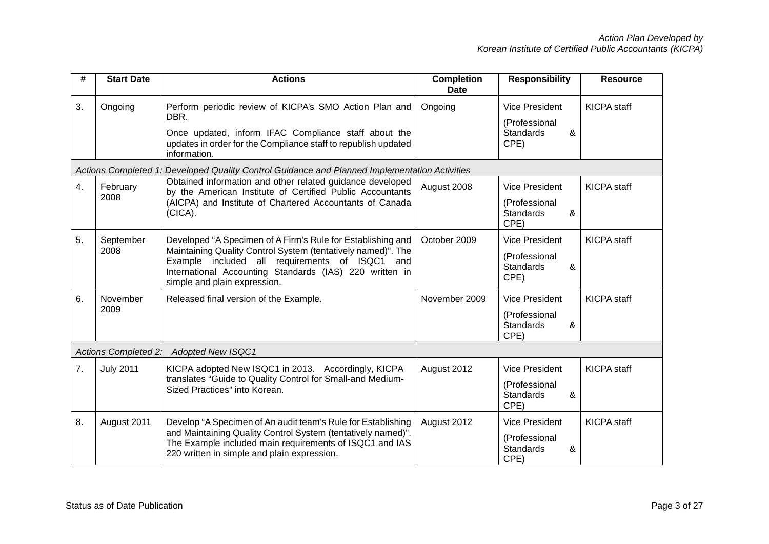| #  | <b>Start Date</b>           | <b>Actions</b>                                                                                                                                                                                                                                                           | <b>Completion</b><br><b>Date</b> | <b>Responsibility</b>                                                   | <b>Resource</b>    |
|----|-----------------------------|--------------------------------------------------------------------------------------------------------------------------------------------------------------------------------------------------------------------------------------------------------------------------|----------------------------------|-------------------------------------------------------------------------|--------------------|
| 3. | Ongoing                     | Perform periodic review of KICPA's SMO Action Plan and<br>DBR.<br>Once updated, inform IFAC Compliance staff about the<br>updates in order for the Compliance staff to republish updated<br>information.                                                                 | Ongoing                          | <b>Vice President</b><br>(Professional<br><b>Standards</b><br>&<br>CPE) | <b>KICPA</b> staff |
|    |                             | Actions Completed 1: Developed Quality Control Guidance and Planned Implementation Activities                                                                                                                                                                            |                                  |                                                                         |                    |
| 4. | February<br>2008            | Obtained information and other related guidance developed<br>by the American Institute of Certified Public Accountants<br>(AICPA) and Institute of Chartered Accountants of Canada<br>(CICA).                                                                            | August 2008                      | <b>Vice President</b><br>(Professional<br>Standards<br>&<br>CPE)        | <b>KICPA</b> staff |
| 5. | September<br>2008           | Developed "A Specimen of A Firm's Rule for Establishing and<br>Maintaining Quality Control System (tentatively named)". The<br>Example included all requirements of ISQC1 and<br>International Accounting Standards (IAS) 220 written in<br>simple and plain expression. | October 2009                     | <b>Vice President</b><br>(Professional<br><b>Standards</b><br>&<br>CPE) | <b>KICPA</b> staff |
| 6. | November<br>2009            | Released final version of the Example.                                                                                                                                                                                                                                   | November 2009                    | <b>Vice President</b><br>(Professional<br><b>Standards</b><br>&<br>CPE) | <b>KICPA</b> staff |
|    | <b>Actions Completed 2:</b> | <b>Adopted New ISQC1</b>                                                                                                                                                                                                                                                 |                                  |                                                                         |                    |
| 7. | <b>July 2011</b>            | KICPA adopted New ISQC1 in 2013. Accordingly, KICPA<br>translates "Guide to Quality Control for Small-and Medium-<br>Sized Practices" into Korean.                                                                                                                       | August 2012                      | <b>Vice President</b><br>(Professional<br><b>Standards</b><br>&<br>CPE) | <b>KICPA</b> staff |
| 8. | August 2011                 | Develop "A Specimen of An audit team's Rule for Establishing<br>and Maintaining Quality Control System (tentatively named)".<br>The Example included main requirements of ISQC1 and IAS<br>220 written in simple and plain expression.                                   | August 2012                      | <b>Vice President</b><br>(Professional<br><b>Standards</b><br>&<br>CPE) | <b>KICPA</b> staff |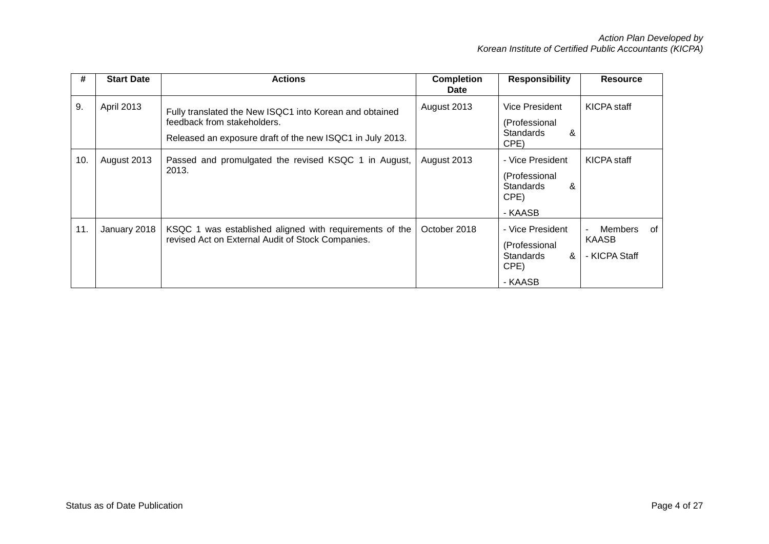| #   | <b>Start Date</b> | <b>Actions</b>                                                                                                                                      | <b>Completion</b><br><b>Date</b> | <b>Responsibility</b>                                                         | <b>Resource</b>                                |
|-----|-------------------|-----------------------------------------------------------------------------------------------------------------------------------------------------|----------------------------------|-------------------------------------------------------------------------------|------------------------------------------------|
| 9.  | April 2013        | Fully translated the New ISQC1 into Korean and obtained<br>feedback from stakeholders.<br>Released an exposure draft of the new ISQC1 in July 2013. | August 2013                      | Vice President<br>(Professional<br><b>Standards</b><br>&<br>CPE)              | KICPA staff                                    |
| 10. | August 2013       | Passed and promulgated the revised KSQC 1 in August,<br>2013.                                                                                       | August 2013                      | - Vice President<br>(Professional<br><b>Standards</b><br>&<br>CPE)<br>- KAASB | KICPA staff                                    |
| 11. | January 2018      | KSQC 1 was established aligned with requirements of the<br>revised Act on External Audit of Stock Companies.                                        | October 2018                     | - Vice President<br>(Professional<br><b>Standards</b><br>&<br>CPE)<br>- KAASB | Members<br>0f<br><b>KAASB</b><br>- KICPA Staff |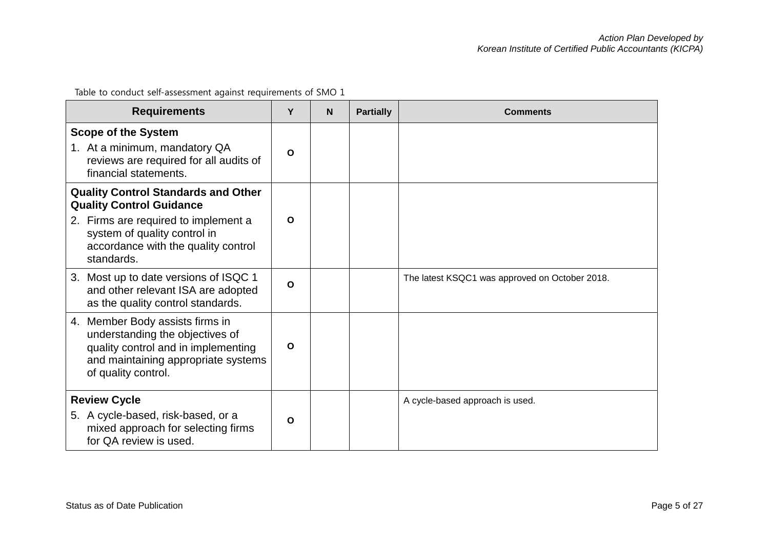Table to conduct self-assessment against requirements of SMO 1

| <b>Requirements</b>                                                                                                                                                     | Υ            | <b>N</b> | <b>Partially</b> | <b>Comments</b>                                |
|-------------------------------------------------------------------------------------------------------------------------------------------------------------------------|--------------|----------|------------------|------------------------------------------------|
| <b>Scope of the System</b><br>1. At a minimum, mandatory QA<br>reviews are required for all audits of<br>financial statements.                                          | $\Omega$     |          |                  |                                                |
| <b>Quality Control Standards and Other</b><br><b>Quality Control Guidance</b>                                                                                           |              |          |                  |                                                |
| 2. Firms are required to implement a<br>system of quality control in<br>accordance with the quality control<br>standards.                                               | $\mathbf{o}$ |          |                  |                                                |
| 3. Most up to date versions of ISQC 1<br>and other relevant ISA are adopted<br>as the quality control standards.                                                        | $\mathbf{o}$ |          |                  | The latest KSQC1 was approved on October 2018. |
| 4. Member Body assists firms in<br>understanding the objectives of<br>quality control and in implementing<br>and maintaining appropriate systems<br>of quality control. | $\mathbf{o}$ |          |                  |                                                |
| <b>Review Cycle</b>                                                                                                                                                     |              |          |                  | A cycle-based approach is used.                |
| 5. A cycle-based, risk-based, or a<br>mixed approach for selecting firms<br>for QA review is used.                                                                      | $\Omega$     |          |                  |                                                |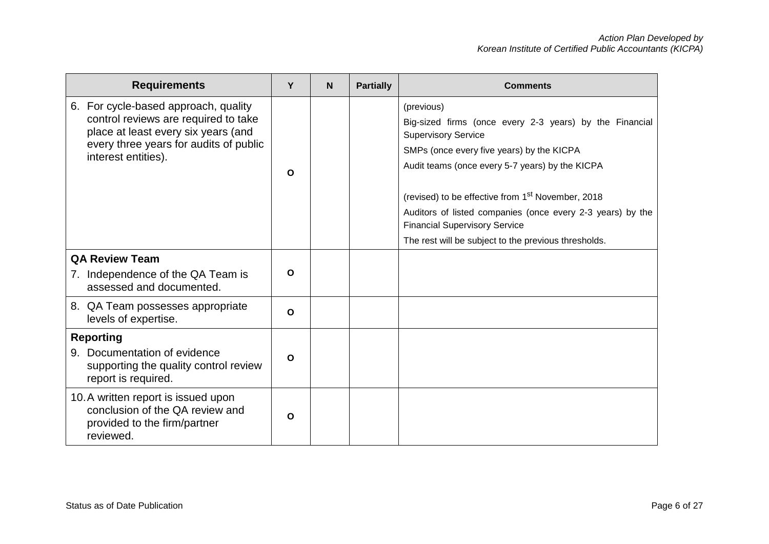| <b>Requirements</b>                                                                                                 | Y            | <b>N</b> | <b>Partially</b> | <b>Comments</b>                                                                                    |
|---------------------------------------------------------------------------------------------------------------------|--------------|----------|------------------|----------------------------------------------------------------------------------------------------|
| 6. For cycle-based approach, quality                                                                                |              |          |                  | (previous)                                                                                         |
| control reviews are required to take<br>place at least every six years (and                                         |              |          |                  | Big-sized firms (once every 2-3 years) by the Financial<br><b>Supervisory Service</b>              |
| every three years for audits of public<br>interest entities).                                                       |              |          |                  | SMPs (once every five years) by the KICPA                                                          |
|                                                                                                                     | O            |          |                  | Audit teams (once every 5-7 years) by the KICPA                                                    |
|                                                                                                                     |              |          |                  | (revised) to be effective from 1 <sup>st</sup> November, 2018                                      |
|                                                                                                                     |              |          |                  | Auditors of listed companies (once every 2-3 years) by the<br><b>Financial Supervisory Service</b> |
|                                                                                                                     |              |          |                  | The rest will be subject to the previous thresholds.                                               |
| <b>QA Review Team</b>                                                                                               |              |          |                  |                                                                                                    |
| 7. Independence of the QA Team is<br>assessed and documented.                                                       | O            |          |                  |                                                                                                    |
| 8. QA Team possesses appropriate<br>levels of expertise.                                                            | $\mathbf{o}$ |          |                  |                                                                                                    |
| <b>Reporting</b>                                                                                                    |              |          |                  |                                                                                                    |
| 9. Documentation of evidence<br>supporting the quality control review<br>report is required.                        | $\mathbf{o}$ |          |                  |                                                                                                    |
| 10. A written report is issued upon<br>conclusion of the QA review and<br>provided to the firm/partner<br>reviewed. | $\mathbf O$  |          |                  |                                                                                                    |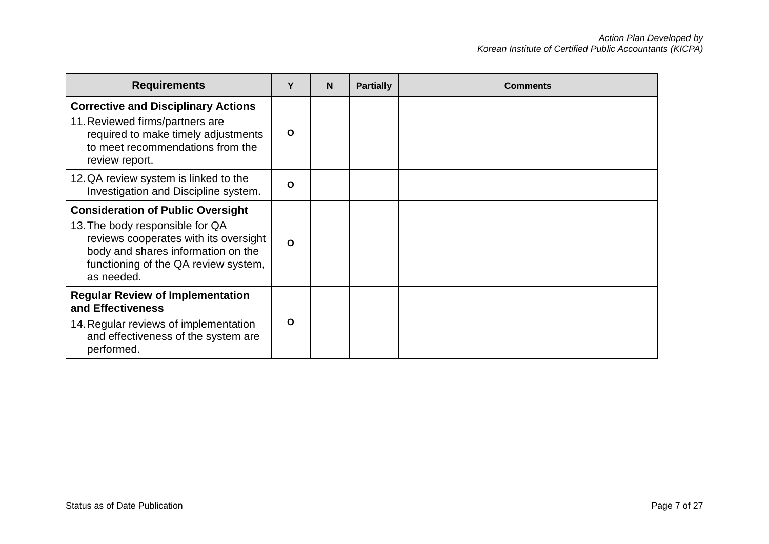| <b>Requirements</b>                                                                                                                                                                                              | Υ            | N | <b>Partially</b> | <b>Comments</b> |
|------------------------------------------------------------------------------------------------------------------------------------------------------------------------------------------------------------------|--------------|---|------------------|-----------------|
| <b>Corrective and Disciplinary Actions</b><br>11. Reviewed firms/partners are<br>required to make timely adjustments<br>to meet recommendations from the<br>review report.                                       | $\mathbf{o}$ |   |                  |                 |
| 12. QA review system is linked to the<br>Investigation and Discipline system.                                                                                                                                    | $\Omega$     |   |                  |                 |
| <b>Consideration of Public Oversight</b><br>13. The body responsible for QA<br>reviews cooperates with its oversight<br>body and shares information on the<br>functioning of the QA review system,<br>as needed. | $\Omega$     |   |                  |                 |
| <b>Regular Review of Implementation</b><br>and Effectiveness<br>14. Regular reviews of implementation<br>and effectiveness of the system are<br>performed.                                                       | $\mathbf{o}$ |   |                  |                 |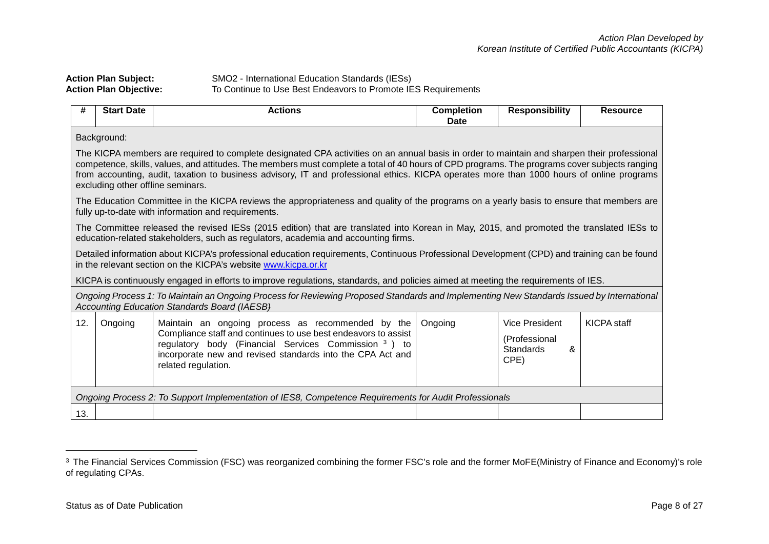<span id="page-7-0"></span>

| <b>Action Plan Subject:</b>   | SMO2 - International Education Standards (IESs)               |
|-------------------------------|---------------------------------------------------------------|
| <b>Action Plan Objective:</b> | To Continue to Use Best Endeavors to Promote IES Requirements |

| #   | <b>Start Date</b>                                                                                                                                                                                                                                                                                                                                                                                                                                                              | <b>Actions</b>                                                                                                                                                                                                                                                   | <b>Completion</b><br><b>Date</b> | <b>Responsibility</b>                                            | <b>Resource</b>    |  |  |  |
|-----|--------------------------------------------------------------------------------------------------------------------------------------------------------------------------------------------------------------------------------------------------------------------------------------------------------------------------------------------------------------------------------------------------------------------------------------------------------------------------------|------------------------------------------------------------------------------------------------------------------------------------------------------------------------------------------------------------------------------------------------------------------|----------------------------------|------------------------------------------------------------------|--------------------|--|--|--|
|     | Background:                                                                                                                                                                                                                                                                                                                                                                                                                                                                    |                                                                                                                                                                                                                                                                  |                                  |                                                                  |                    |  |  |  |
|     | The KICPA members are required to complete designated CPA activities on an annual basis in order to maintain and sharpen their professional<br>competence, skills, values, and attitudes. The members must complete a total of 40 hours of CPD programs. The programs cover subjects ranging<br>from accounting, audit, taxation to business advisory, IT and professional ethics. KICPA operates more than 1000 hours of online programs<br>excluding other offline seminars. |                                                                                                                                                                                                                                                                  |                                  |                                                                  |                    |  |  |  |
|     |                                                                                                                                                                                                                                                                                                                                                                                                                                                                                | The Education Committee in the KICPA reviews the appropriateness and quality of the programs on a yearly basis to ensure that members are<br>fully up-to-date with information and requirements.                                                                 |                                  |                                                                  |                    |  |  |  |
|     |                                                                                                                                                                                                                                                                                                                                                                                                                                                                                | The Committee released the revised IESs (2015 edition) that are translated into Korean in May, 2015, and promoted the translated IESs to<br>education-related stakeholders, such as regulators, academia and accounting firms.                                   |                                  |                                                                  |                    |  |  |  |
|     |                                                                                                                                                                                                                                                                                                                                                                                                                                                                                | Detailed information about KICPA's professional education requirements, Continuous Professional Development (CPD) and training can be found<br>in the relevant section on the KICPA's website www.kicpa.or.kr                                                    |                                  |                                                                  |                    |  |  |  |
|     |                                                                                                                                                                                                                                                                                                                                                                                                                                                                                | KICPA is continuously engaged in efforts to improve regulations, standards, and policies aimed at meeting the requirements of IES.                                                                                                                               |                                  |                                                                  |                    |  |  |  |
|     |                                                                                                                                                                                                                                                                                                                                                                                                                                                                                | Ongoing Process 1: To Maintain an Ongoing Process for Reviewing Proposed Standards and Implementing New Standards Issued by International<br><b>Accounting Education Standards Board (IAESB)</b>                                                                 |                                  |                                                                  |                    |  |  |  |
| 12. | Ongoing                                                                                                                                                                                                                                                                                                                                                                                                                                                                        | Maintain an ongoing process as recommended by the<br>Compliance staff and continues to use best endeavors to assist<br>regulatory body (Financial Services Commission 3) to<br>incorporate new and revised standards into the CPA Act and<br>related regulation. | Ongoing                          | <b>Vice President</b><br>(Professional<br>Standards<br>&<br>CPE) | <b>KICPA</b> staff |  |  |  |
|     |                                                                                                                                                                                                                                                                                                                                                                                                                                                                                | Ongoing Process 2: To Support Implementation of IES8, Competence Requirements for Audit Professionals                                                                                                                                                            |                                  |                                                                  |                    |  |  |  |
| 13. |                                                                                                                                                                                                                                                                                                                                                                                                                                                                                |                                                                                                                                                                                                                                                                  |                                  |                                                                  |                    |  |  |  |

-

<sup>&</sup>lt;sup>3</sup> The Financial Services Commission (FSC) was reorganized combining the former FSC's role and the former MoFE(Ministry of Finance and Economy)'s role of regulating CPAs.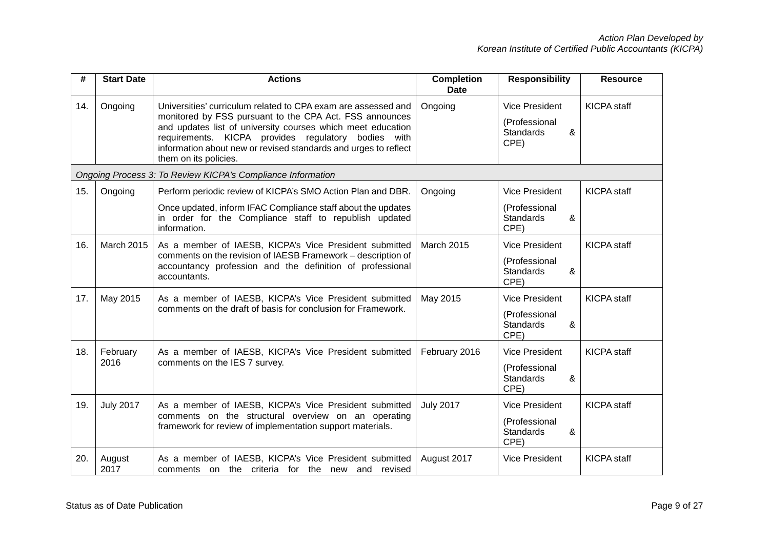| #   | <b>Start Date</b>                                                            | <b>Actions</b>                                                                                                                                                                                                                                                                                                                             | <b>Completion</b><br><b>Date</b> | <b>Responsibility</b>                                                   | <b>Resource</b>    |
|-----|------------------------------------------------------------------------------|--------------------------------------------------------------------------------------------------------------------------------------------------------------------------------------------------------------------------------------------------------------------------------------------------------------------------------------------|----------------------------------|-------------------------------------------------------------------------|--------------------|
| 14. | Ongoing                                                                      | Universities' curriculum related to CPA exam are assessed and<br>monitored by FSS pursuant to the CPA Act. FSS announces<br>and updates list of university courses which meet education<br>requirements. KICPA provides regulatory bodies with<br>information about new or revised standards and urges to reflect<br>them on its policies. | Ongoing                          | <b>Vice President</b><br>(Professional<br>&<br><b>Standards</b><br>CPE) | <b>KICPA</b> staff |
|     |                                                                              | Ongoing Process 3: To Review KICPA's Compliance Information                                                                                                                                                                                                                                                                                |                                  |                                                                         |                    |
| 15. | Ongoing                                                                      | Perform periodic review of KICPA's SMO Action Plan and DBR.                                                                                                                                                                                                                                                                                | Ongoing                          | <b>Vice President</b>                                                   | <b>KICPA</b> staff |
|     |                                                                              | Once updated, inform IFAC Compliance staff about the updates<br>in order for the Compliance staff to republish updated<br>information.                                                                                                                                                                                                     |                                  | (Professional<br><b>Standards</b><br>&<br>CPE)                          |                    |
| 16. | March 2015                                                                   | As a member of IAESB, KICPA's Vice President submitted                                                                                                                                                                                                                                                                                     | <b>March 2015</b>                | <b>Vice President</b>                                                   | <b>KICPA</b> staff |
|     | comments on the revision of IAESB Framework - description of<br>accountants. | accountancy profession and the definition of professional                                                                                                                                                                                                                                                                                  |                                  | (Professional<br><b>Standards</b><br>&<br>CPE)                          |                    |
| 17. | May 2015                                                                     | As a member of IAESB, KICPA's Vice President submitted                                                                                                                                                                                                                                                                                     | May 2015                         | Vice President                                                          | <b>KICPA</b> staff |
|     |                                                                              | comments on the draft of basis for conclusion for Framework.                                                                                                                                                                                                                                                                               |                                  | (Professional<br><b>Standards</b><br>&<br>CPE)                          |                    |
| 18. | February                                                                     | As a member of IAESB, KICPA's Vice President submitted                                                                                                                                                                                                                                                                                     | February 2016                    | <b>Vice President</b>                                                   | <b>KICPA</b> staff |
|     | 2016                                                                         | comments on the IES 7 survey.                                                                                                                                                                                                                                                                                                              |                                  | (Professional<br><b>Standards</b><br>&<br>CPE)                          |                    |
| 19. | <b>July 2017</b>                                                             | As a member of IAESB, KICPA's Vice President submitted                                                                                                                                                                                                                                                                                     | <b>July 2017</b>                 | <b>Vice President</b>                                                   | KICPA staff        |
|     |                                                                              | comments on the structural overview on an operating<br>framework for review of implementation support materials.                                                                                                                                                                                                                           |                                  | (Professional<br><b>Standards</b><br>&<br>CPE)                          |                    |
| 20. | August<br>2017                                                               | As a member of IAESB, KICPA's Vice President submitted<br>comments on the criteria for the new and revised                                                                                                                                                                                                                                 | August 2017                      | <b>Vice President</b>                                                   | <b>KICPA</b> staff |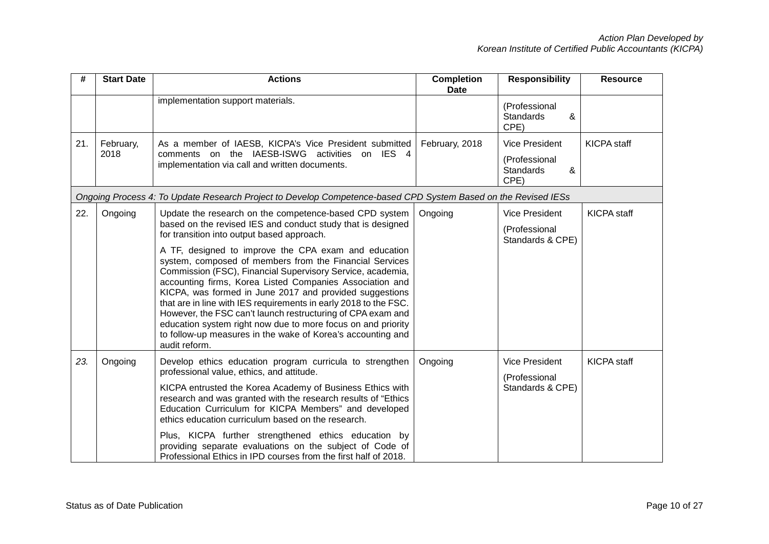| #   | <b>Start Date</b> | <b>Actions</b>                                                                                                                                                                                                                                                                                                                                                                                                                                                                                                                                                                          | <b>Completion</b><br><b>Date</b> | <b>Responsibility</b>                          | <b>Resource</b>    |
|-----|-------------------|-----------------------------------------------------------------------------------------------------------------------------------------------------------------------------------------------------------------------------------------------------------------------------------------------------------------------------------------------------------------------------------------------------------------------------------------------------------------------------------------------------------------------------------------------------------------------------------------|----------------------------------|------------------------------------------------|--------------------|
|     |                   | implementation support materials.                                                                                                                                                                                                                                                                                                                                                                                                                                                                                                                                                       |                                  | (Professional<br><b>Standards</b><br>&<br>CPE) |                    |
| 21. | February,<br>2018 | As a member of IAESB, KICPA's Vice President submitted<br>comments on the IAESB-ISWG activities on IES 4<br>implementation via call and written documents.                                                                                                                                                                                                                                                                                                                                                                                                                              | February, 2018                   | <b>Vice President</b><br>(Professional         | <b>KICPA</b> staff |
|     |                   |                                                                                                                                                                                                                                                                                                                                                                                                                                                                                                                                                                                         |                                  | <b>Standards</b><br>&<br>CPE)                  |                    |
|     |                   | Ongoing Process 4: To Update Research Project to Develop Competence-based CPD System Based on the Revised IESs                                                                                                                                                                                                                                                                                                                                                                                                                                                                          |                                  |                                                |                    |
| 22. | Ongoing           | Update the research on the competence-based CPD system                                                                                                                                                                                                                                                                                                                                                                                                                                                                                                                                  | Ongoing                          | <b>Vice President</b>                          | <b>KICPA</b> staff |
|     |                   | based on the revised IES and conduct study that is designed<br>for transition into output based approach.                                                                                                                                                                                                                                                                                                                                                                                                                                                                               |                                  | (Professional<br>Standards & CPE)              |                    |
|     |                   | A TF, designed to improve the CPA exam and education<br>system, composed of members from the Financial Services<br>Commission (FSC), Financial Supervisory Service, academia,<br>accounting firms, Korea Listed Companies Association and<br>KICPA, was formed in June 2017 and provided suggestions<br>that are in line with IES requirements in early 2018 to the FSC.<br>However, the FSC can't launch restructuring of CPA exam and<br>education system right now due to more focus on and priority<br>to follow-up measures in the wake of Korea's accounting and<br>audit reform. |                                  |                                                |                    |
| 23. | Ongoing           | Develop ethics education program curricula to strengthen<br>professional value, ethics, and attitude.                                                                                                                                                                                                                                                                                                                                                                                                                                                                                   | Ongoing                          | <b>Vice President</b>                          | <b>KICPA</b> staff |
|     |                   | KICPA entrusted the Korea Academy of Business Ethics with<br>research and was granted with the research results of "Ethics<br>Education Curriculum for KICPA Members" and developed<br>ethics education curriculum based on the research.                                                                                                                                                                                                                                                                                                                                               |                                  | (Professional<br>Standards & CPE)              |                    |
|     |                   | Plus, KICPA further strengthened ethics education by<br>providing separate evaluations on the subject of Code of<br>Professional Ethics in IPD courses from the first half of 2018.                                                                                                                                                                                                                                                                                                                                                                                                     |                                  |                                                |                    |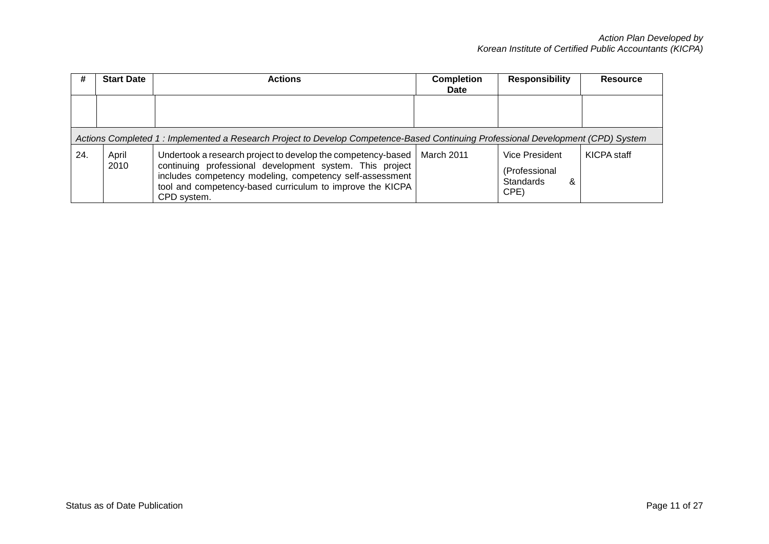| #   | <b>Start Date</b>                                                                                                                | <b>Actions</b>                                                                                                                                                                                                                                                   | <b>Completion</b><br><b>Date</b> | <b>Responsibility</b>                                            | <b>Resource</b> |  |  |
|-----|----------------------------------------------------------------------------------------------------------------------------------|------------------------------------------------------------------------------------------------------------------------------------------------------------------------------------------------------------------------------------------------------------------|----------------------------------|------------------------------------------------------------------|-----------------|--|--|
|     |                                                                                                                                  |                                                                                                                                                                                                                                                                  |                                  |                                                                  |                 |  |  |
|     | Actions Completed 1: Implemented a Research Project to Develop Competence-Based Continuing Professional Development (CPD) System |                                                                                                                                                                                                                                                                  |                                  |                                                                  |                 |  |  |
| 24. | April<br>2010                                                                                                                    | Undertook a research project to develop the competency-based<br>continuing professional development system. This project<br>includes competency modeling, competency self-assessment<br>tool and competency-based curriculum to improve the KICPA<br>CPD system. | March 2011                       | Vice President<br>(Professional<br><b>Standards</b><br>&<br>CPE) | KICPA staff     |  |  |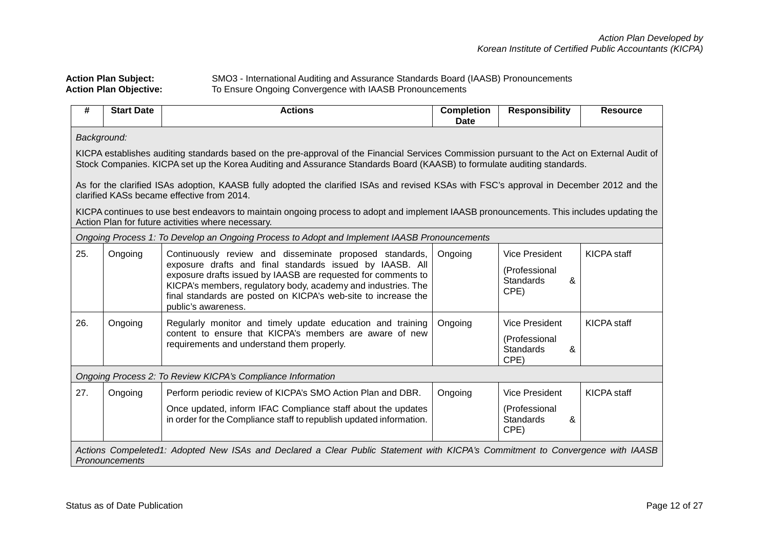## *Action Plan Developed by Korean Institute of Certified Public Accountants (KICPA)*

### Action Plan Subject: SMO3 - International Auditing and Assurance Standards Board (IAASB) Pronouncements<br>Action Plan Objective: To Ensure Ongoing Convergence with IAASB Pronouncements To Ensure Ongoing Convergence with IAASB Pronouncements

| #                                                           | <b>Start Date</b>                                                                                                                               | <b>Actions</b>                                                                                                                                                                                                                                                                                                                                 | <b>Completion</b><br>Date | <b>Responsibility</b>                                                   | <b>Resource</b>    |  |
|-------------------------------------------------------------|-------------------------------------------------------------------------------------------------------------------------------------------------|------------------------------------------------------------------------------------------------------------------------------------------------------------------------------------------------------------------------------------------------------------------------------------------------------------------------------------------------|---------------------------|-------------------------------------------------------------------------|--------------------|--|
| Background:                                                 |                                                                                                                                                 |                                                                                                                                                                                                                                                                                                                                                |                           |                                                                         |                    |  |
|                                                             |                                                                                                                                                 | KICPA establishes auditing standards based on the pre-approval of the Financial Services Commission pursuant to the Act on External Audit of<br>Stock Companies. KICPA set up the Korea Auditing and Assurance Standards Board (KAASB) to formulate auditing standards.                                                                        |                           |                                                                         |                    |  |
|                                                             |                                                                                                                                                 | As for the clarified ISAs adoption, KAASB fully adopted the clarified ISAs and revised KSAs with FSC's approval in December 2012 and the<br>clarified KASs became effective from 2014.                                                                                                                                                         |                           |                                                                         |                    |  |
|                                                             |                                                                                                                                                 | KICPA continues to use best endeavors to maintain ongoing process to adopt and implement IAASB pronouncements. This includes updating the<br>Action Plan for future activities where necessary.                                                                                                                                                |                           |                                                                         |                    |  |
|                                                             |                                                                                                                                                 | Ongoing Process 1: To Develop an Ongoing Process to Adopt and Implement IAASB Pronouncements                                                                                                                                                                                                                                                   |                           |                                                                         |                    |  |
| 25.                                                         | Ongoing                                                                                                                                         | Continuously review and disseminate proposed standards,<br>exposure drafts and final standards issued by IAASB. All<br>exposure drafts issued by IAASB are requested for comments to<br>KICPA's members, regulatory body, academy and industries. The<br>final standards are posted on KICPA's web-site to increase the<br>public's awareness. | Ongoing                   | <b>Vice President</b><br>(Professional<br><b>Standards</b><br>&<br>CPE) | <b>KICPA</b> staff |  |
| 26.                                                         | Ongoing                                                                                                                                         | Regularly monitor and timely update education and training<br>content to ensure that KICPA's members are aware of new<br>requirements and understand them properly.                                                                                                                                                                            | Ongoing                   | Vice President<br>(Professional<br>Standards<br>&<br>CPE)               | <b>KICPA</b> staff |  |
| Ongoing Process 2: To Review KICPA's Compliance Information |                                                                                                                                                 |                                                                                                                                                                                                                                                                                                                                                |                           |                                                                         |                    |  |
| 27.                                                         | Ongoing                                                                                                                                         | Perform periodic review of KICPA's SMO Action Plan and DBR.<br>Once updated, inform IFAC Compliance staff about the updates<br>in order for the Compliance staff to republish updated information.                                                                                                                                             | Ongoing                   | <b>Vice President</b><br>(Professional<br><b>Standards</b><br>&<br>CPE) | <b>KICPA</b> staff |  |
|                                                             | Actions Compeleted1: Adopted New ISAs and Declared a Clear Public Statement with KICPA's Commitment to Convergence with IAASB<br>Pronouncements |                                                                                                                                                                                                                                                                                                                                                |                           |                                                                         |                    |  |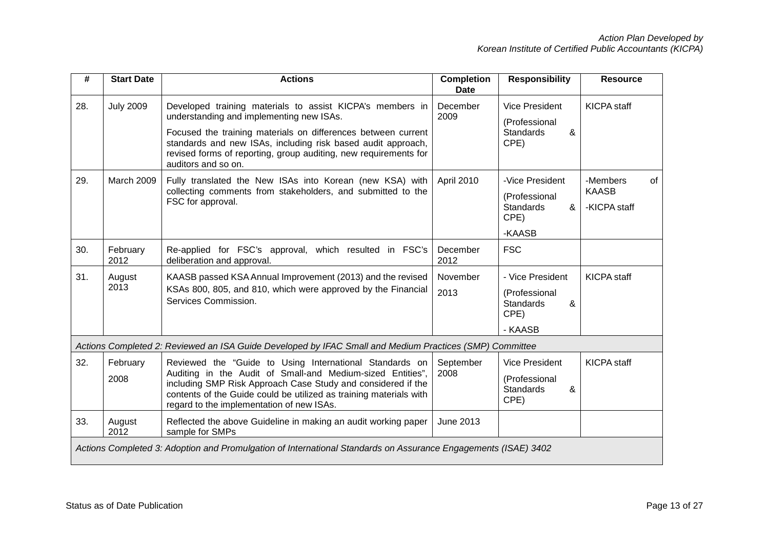| #   | <b>Start Date</b>                                                                                              | <b>Actions</b>                                                                                                                                                                                                                                                                                                                    | <b>Completion</b><br><b>Date</b> | <b>Responsibility</b>                                                         | <b>Resource</b>                                |  |  |
|-----|----------------------------------------------------------------------------------------------------------------|-----------------------------------------------------------------------------------------------------------------------------------------------------------------------------------------------------------------------------------------------------------------------------------------------------------------------------------|----------------------------------|-------------------------------------------------------------------------------|------------------------------------------------|--|--|
| 28. | <b>July 2009</b>                                                                                               | Developed training materials to assist KICPA's members in<br>understanding and implementing new ISAs.<br>Focused the training materials on differences between current<br>standards and new ISAs, including risk based audit approach,<br>revised forms of reporting, group auditing, new requirements for<br>auditors and so on. | December<br>2009                 | <b>Vice President</b><br>(Professional<br><b>Standards</b><br>&<br>CPE)       | <b>KICPA</b> staff                             |  |  |
| 29. | March 2009                                                                                                     | Fully translated the New ISAs into Korean (new KSA) with<br>collecting comments from stakeholders, and submitted to the<br>FSC for approval.                                                                                                                                                                                      | April 2010                       | -Vice President<br>(Professional<br>Standards<br>&<br>CPE)<br>-KAASB          | -Members<br>0f<br><b>KAASB</b><br>-KICPA staff |  |  |
| 30. | February<br>2012                                                                                               | Re-applied for FSC's approval, which resulted in FSC's<br>deliberation and approval.                                                                                                                                                                                                                                              | December<br>2012                 | <b>FSC</b>                                                                    |                                                |  |  |
| 31. | August<br>2013                                                                                                 | KAASB passed KSA Annual Improvement (2013) and the revised<br>KSAs 800, 805, and 810, which were approved by the Financial<br>Services Commission.                                                                                                                                                                                | November<br>2013                 | - Vice President<br>(Professional<br><b>Standards</b><br>&<br>CPE)<br>- KAASB | <b>KICPA</b> staff                             |  |  |
|     |                                                                                                                | Actions Completed 2: Reviewed an ISA Guide Developed by IFAC Small and Medium Practices (SMP) Committee                                                                                                                                                                                                                           |                                  |                                                                               |                                                |  |  |
| 32. | February<br>2008                                                                                               | Reviewed the "Guide to Using International Standards on<br>Auditing in the Audit of Small-and Medium-sized Entities",<br>including SMP Risk Approach Case Study and considered if the<br>contents of the Guide could be utilized as training materials with<br>regard to the implementation of new ISAs.                          | September<br>2008                | <b>Vice President</b><br>(Professional<br><b>Standards</b><br>&<br>CPE)       | <b>KICPA</b> staff                             |  |  |
| 33. | August<br>2012                                                                                                 | Reflected the above Guideline in making an audit working paper<br>sample for SMPs                                                                                                                                                                                                                                                 | June 2013                        |                                                                               |                                                |  |  |
|     | Actions Completed 3: Adoption and Promulgation of International Standards on Assurance Engagements (ISAE) 3402 |                                                                                                                                                                                                                                                                                                                                   |                                  |                                                                               |                                                |  |  |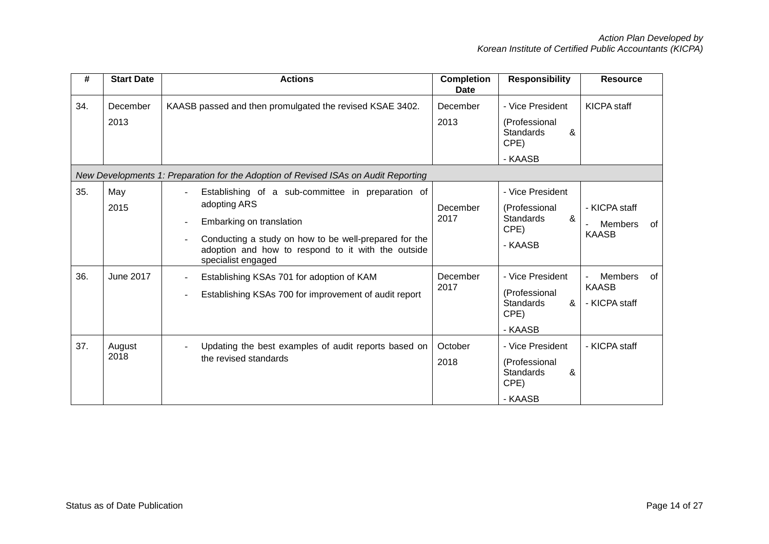| #   | <b>Start Date</b> | <b>Actions</b>                                                                                                                                                                                                                     | <b>Completion</b><br>Date | <b>Responsibility</b>                                                         | <b>Resource</b>                                       |
|-----|-------------------|------------------------------------------------------------------------------------------------------------------------------------------------------------------------------------------------------------------------------------|---------------------------|-------------------------------------------------------------------------------|-------------------------------------------------------|
| 34. | December<br>2013  | KAASB passed and then promulgated the revised KSAE 3402.                                                                                                                                                                           | December<br>2013          | - Vice President<br>(Professional<br>&<br><b>Standards</b><br>CPE)<br>- KAASB | <b>KICPA</b> staff                                    |
|     |                   | New Developments 1: Preparation for the Adoption of Revised ISAs on Audit Reporting                                                                                                                                                |                           |                                                                               |                                                       |
| 35. | May<br>2015       | Establishing of a sub-committee in preparation of<br>adopting ARS<br>Embarking on translation<br>Conducting a study on how to be well-prepared for the<br>adoption and how to respond to it with the outside<br>specialist engaged | December<br>2017          | - Vice President<br>(Professional<br>&<br><b>Standards</b><br>CPE)<br>- KAASB | - KICPA staff<br><b>Members</b><br>of<br><b>KAASB</b> |
| 36. | <b>June 2017</b>  | Establishing KSAs 701 for adoption of KAM<br>Establishing KSAs 700 for improvement of audit report                                                                                                                                 | December<br>2017          | - Vice President<br>(Professional<br><b>Standards</b><br>&<br>CPE)<br>- KAASB | <b>Members</b><br>0f<br><b>KAASB</b><br>- KICPA staff |
| 37. | August<br>2018    | Updating the best examples of audit reports based on<br>the revised standards                                                                                                                                                      | October<br>2018           | - Vice President<br>(Professional<br>&<br><b>Standards</b><br>CPE)<br>- KAASB | - KICPA staff                                         |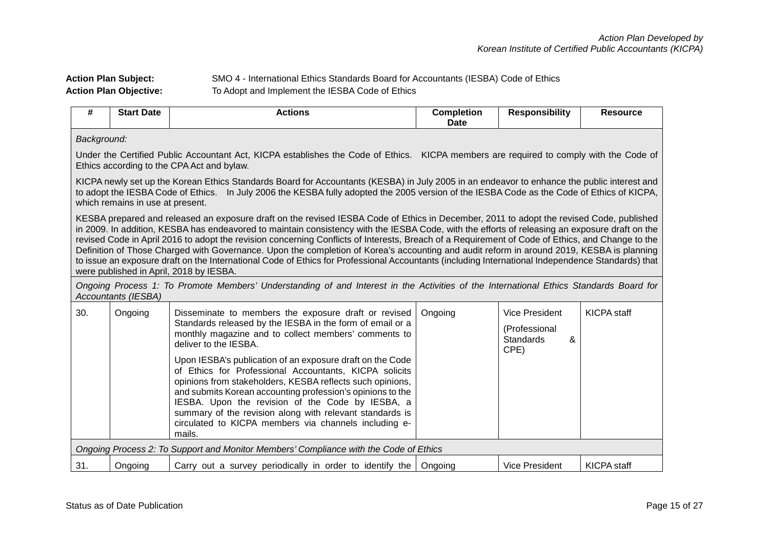# Action Plan Subject: **SMO 4 - International Ethics Standards Board for Accountants (IESBA) Code of Ethics**<br>**Action Plan Objective:** To Adopt and Implement the IESBA Code of Ethics To Adopt and Implement the IESBA Code of Ethics

| #   | <b>Start Date</b>                                                                                                                                                                                                                                                                                                                                                                                                                                                                                                                                                                                                                                                                                                                                                                           | <b>Actions</b>                                                                                                                                                                                                                                                                                                                                                                                                                                                                                                                                                                                                                | <b>Completion</b><br><b>Date</b> | <b>Responsibility</b>                                            | <b>Resource</b>    |  |  |  |
|-----|---------------------------------------------------------------------------------------------------------------------------------------------------------------------------------------------------------------------------------------------------------------------------------------------------------------------------------------------------------------------------------------------------------------------------------------------------------------------------------------------------------------------------------------------------------------------------------------------------------------------------------------------------------------------------------------------------------------------------------------------------------------------------------------------|-------------------------------------------------------------------------------------------------------------------------------------------------------------------------------------------------------------------------------------------------------------------------------------------------------------------------------------------------------------------------------------------------------------------------------------------------------------------------------------------------------------------------------------------------------------------------------------------------------------------------------|----------------------------------|------------------------------------------------------------------|--------------------|--|--|--|
|     | Background:                                                                                                                                                                                                                                                                                                                                                                                                                                                                                                                                                                                                                                                                                                                                                                                 |                                                                                                                                                                                                                                                                                                                                                                                                                                                                                                                                                                                                                               |                                  |                                                                  |                    |  |  |  |
|     |                                                                                                                                                                                                                                                                                                                                                                                                                                                                                                                                                                                                                                                                                                                                                                                             | Under the Certified Public Accountant Act, KICPA establishes the Code of Ethics. KICPA members are required to comply with the Code of<br>Ethics according to the CPA Act and bylaw.                                                                                                                                                                                                                                                                                                                                                                                                                                          |                                  |                                                                  |                    |  |  |  |
|     | which remains in use at present.                                                                                                                                                                                                                                                                                                                                                                                                                                                                                                                                                                                                                                                                                                                                                            | KICPA newly set up the Korean Ethics Standards Board for Accountants (KESBA) in July 2005 in an endeavor to enhance the public interest and<br>to adopt the IESBA Code of Ethics. In July 2006 the KESBA fully adopted the 2005 version of the IESBA Code as the Code of Ethics of KICPA,                                                                                                                                                                                                                                                                                                                                     |                                  |                                                                  |                    |  |  |  |
|     | KESBA prepared and released an exposure draft on the revised IESBA Code of Ethics in December, 2011 to adopt the revised Code, published<br>in 2009. In addition, KESBA has endeavored to maintain consistency with the IESBA Code, with the efforts of releasing an exposure draft on the<br>revised Code in April 2016 to adopt the revision concerning Conflicts of Interests, Breach of a Requirement of Code of Ethics, and Change to the<br>Definition of Those Charged with Governance. Upon the completion of Korea's accounting and audit reform in around 2019, KESBA is planning<br>to issue an exposure draft on the International Code of Ethics for Professional Accountants (including International Independence Standards) that<br>were published in April, 2018 by IESBA. |                                                                                                                                                                                                                                                                                                                                                                                                                                                                                                                                                                                                                               |                                  |                                                                  |                    |  |  |  |
|     | Accountants (IESBA)                                                                                                                                                                                                                                                                                                                                                                                                                                                                                                                                                                                                                                                                                                                                                                         | Ongoing Process 1: To Promote Members' Understanding of and Interest in the Activities of the International Ethics Standards Board for                                                                                                                                                                                                                                                                                                                                                                                                                                                                                        |                                  |                                                                  |                    |  |  |  |
| 30. | Ongoing                                                                                                                                                                                                                                                                                                                                                                                                                                                                                                                                                                                                                                                                                                                                                                                     | Disseminate to members the exposure draft or revised<br>Standards released by the IESBA in the form of email or a<br>monthly magazine and to collect members' comments to<br>deliver to the IESBA.<br>Upon IESBA's publication of an exposure draft on the Code<br>of Ethics for Professional Accountants, KICPA solicits<br>opinions from stakeholders, KESBA reflects such opinions,<br>and submits Korean accounting profession's opinions to the<br>IESBA. Upon the revision of the Code by IESBA, a<br>summary of the revision along with relevant standards is<br>circulated to KICPA members via channels including e- | Ongoing                          | Vice President<br>(Professional<br><b>Standards</b><br>&<br>CPE) | <b>KICPA</b> staff |  |  |  |
|     |                                                                                                                                                                                                                                                                                                                                                                                                                                                                                                                                                                                                                                                                                                                                                                                             | mails.                                                                                                                                                                                                                                                                                                                                                                                                                                                                                                                                                                                                                        |                                  |                                                                  |                    |  |  |  |
|     |                                                                                                                                                                                                                                                                                                                                                                                                                                                                                                                                                                                                                                                                                                                                                                                             | Ongoing Process 2: To Support and Monitor Members' Compliance with the Code of Ethics                                                                                                                                                                                                                                                                                                                                                                                                                                                                                                                                         |                                  |                                                                  |                    |  |  |  |
| 31. | Ongoing                                                                                                                                                                                                                                                                                                                                                                                                                                                                                                                                                                                                                                                                                                                                                                                     | Carry out a survey periodically in order to identify the                                                                                                                                                                                                                                                                                                                                                                                                                                                                                                                                                                      | Ongoing                          | <b>Vice President</b>                                            | <b>KICPA</b> staff |  |  |  |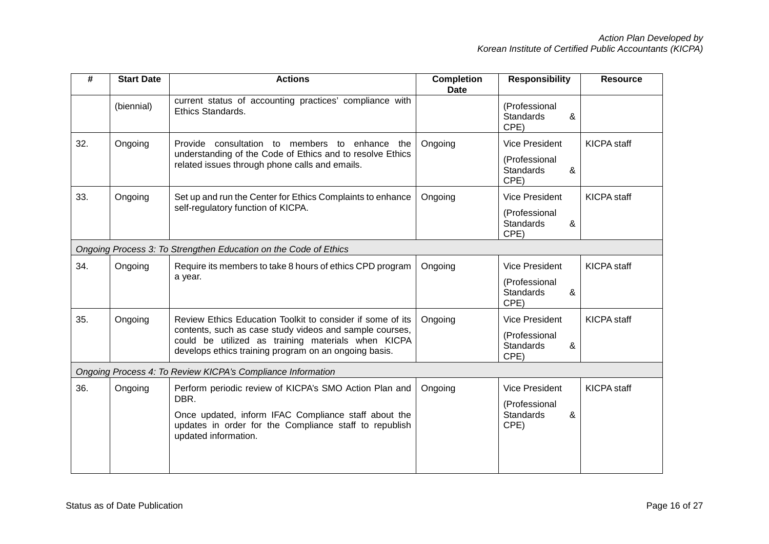| #   | <b>Start Date</b>                                           | <b>Actions</b>                                                                                                                                                                                                                       | <b>Completion</b><br><b>Date</b> | <b>Responsibility</b>                          | <b>Resource</b>    |  |  |
|-----|-------------------------------------------------------------|--------------------------------------------------------------------------------------------------------------------------------------------------------------------------------------------------------------------------------------|----------------------------------|------------------------------------------------|--------------------|--|--|
|     | (biennial)                                                  | current status of accounting practices' compliance with<br>Ethics Standards.                                                                                                                                                         |                                  | (Professional<br><b>Standards</b><br>&<br>CPE) |                    |  |  |
| 32. | Ongoing                                                     | Provide consultation to members to enhance the                                                                                                                                                                                       | Ongoing                          | <b>Vice President</b>                          | <b>KICPA</b> staff |  |  |
|     |                                                             | understanding of the Code of Ethics and to resolve Ethics<br>related issues through phone calls and emails.                                                                                                                          |                                  | (Professional<br><b>Standards</b><br>&<br>CPE) |                    |  |  |
| 33. | Ongoing                                                     | Set up and run the Center for Ethics Complaints to enhance                                                                                                                                                                           | Ongoing                          | <b>Vice President</b>                          | <b>KICPA</b> staff |  |  |
|     |                                                             | self-regulatory function of KICPA.                                                                                                                                                                                                   |                                  | (Professional<br>&<br><b>Standards</b><br>CPE) |                    |  |  |
|     |                                                             | Ongoing Process 3: To Strengthen Education on the Code of Ethics                                                                                                                                                                     |                                  |                                                |                    |  |  |
| 34. | Ongoing                                                     | Require its members to take 8 hours of ethics CPD program<br>a year.                                                                                                                                                                 | Ongoing                          | <b>Vice President</b>                          | <b>KICPA</b> staff |  |  |
|     |                                                             |                                                                                                                                                                                                                                      |                                  | (Professional<br><b>Standards</b><br>&<br>CPE) |                    |  |  |
| 35. | Ongoing                                                     | Review Ethics Education Toolkit to consider if some of its<br>contents, such as case study videos and sample courses,<br>could be utilized as training materials when KICPA<br>develops ethics training program on an ongoing basis. | Ongoing                          | <b>Vice President</b>                          | <b>KICPA</b> staff |  |  |
|     |                                                             |                                                                                                                                                                                                                                      |                                  | (Professional<br><b>Standards</b><br>&<br>CPE) |                    |  |  |
|     | Ongoing Process 4: To Review KICPA's Compliance Information |                                                                                                                                                                                                                                      |                                  |                                                |                    |  |  |
| 36. | Ongoing                                                     | Perform periodic review of KICPA's SMO Action Plan and                                                                                                                                                                               | Ongoing                          | <b>Vice President</b>                          | <b>KICPA</b> staff |  |  |
|     |                                                             | DBR.<br>Once updated, inform IFAC Compliance staff about the<br>updates in order for the Compliance staff to republish<br>updated information.                                                                                       |                                  | (Professional<br>&<br><b>Standards</b><br>CPE) |                    |  |  |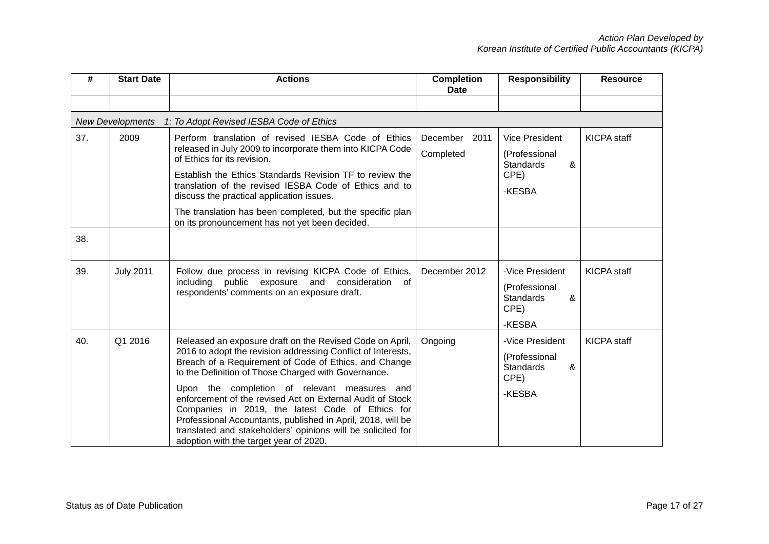| #   | <b>Start Date</b>       | <b>Actions</b>                                                                                                                                                                                                                                                                                                                                                                                                                                                                                                                                                                    | <b>Completion</b><br><b>Date</b> | <b>Responsibility</b>                                                             | <b>Resource</b>    |
|-----|-------------------------|-----------------------------------------------------------------------------------------------------------------------------------------------------------------------------------------------------------------------------------------------------------------------------------------------------------------------------------------------------------------------------------------------------------------------------------------------------------------------------------------------------------------------------------------------------------------------------------|----------------------------------|-----------------------------------------------------------------------------------|--------------------|
|     |                         |                                                                                                                                                                                                                                                                                                                                                                                                                                                                                                                                                                                   |                                  |                                                                                   |                    |
|     | <b>New Developments</b> | 1: To Adopt Revised IESBA Code of Ethics                                                                                                                                                                                                                                                                                                                                                                                                                                                                                                                                          |                                  |                                                                                   |                    |
| 37. | 2009                    | Perform translation of revised IESBA Code of Ethics<br>released in July 2009 to incorporate them into KICPA Code<br>of Ethics for its revision.<br>Establish the Ethics Standards Revision TF to review the<br>translation of the revised IESBA Code of Ethics and to<br>discuss the practical application issues.<br>The translation has been completed, but the specific plan<br>on its pronouncement has not yet been decided.                                                                                                                                                 | December<br>2011<br>Completed    | <b>Vice President</b><br>(Professional<br>&<br><b>Standards</b><br>CPE)<br>-KESBA | <b>KICPA</b> staff |
| 38. |                         |                                                                                                                                                                                                                                                                                                                                                                                                                                                                                                                                                                                   |                                  |                                                                                   |                    |
| 39. | <b>July 2011</b>        | Follow due process in revising KICPA Code of Ethics,<br>including public exposure and consideration of<br>respondents' comments on an exposure draft.                                                                                                                                                                                                                                                                                                                                                                                                                             | December 2012                    | -Vice President<br>(Professional<br>&<br><b>Standards</b><br>CPE)<br>-KESBA       | <b>KICPA</b> staff |
| 40. | Q1 2016                 | Released an exposure draft on the Revised Code on April,<br>2016 to adopt the revision addressing Conflict of Interests,<br>Breach of a Requirement of Code of Ethics, and Change<br>to the Definition of Those Charged with Governance.<br>Upon the completion of relevant measures and<br>enforcement of the revised Act on External Audit of Stock<br>Companies in 2019, the latest Code of Ethics for<br>Professional Accountants, published in April, 2018, will be<br>translated and stakeholders' opinions will be solicited for<br>adoption with the target year of 2020. | Ongoing                          | -Vice President<br>(Professional<br><b>Standards</b><br>&<br>CPE)<br>-KESBA       | <b>KICPA</b> staff |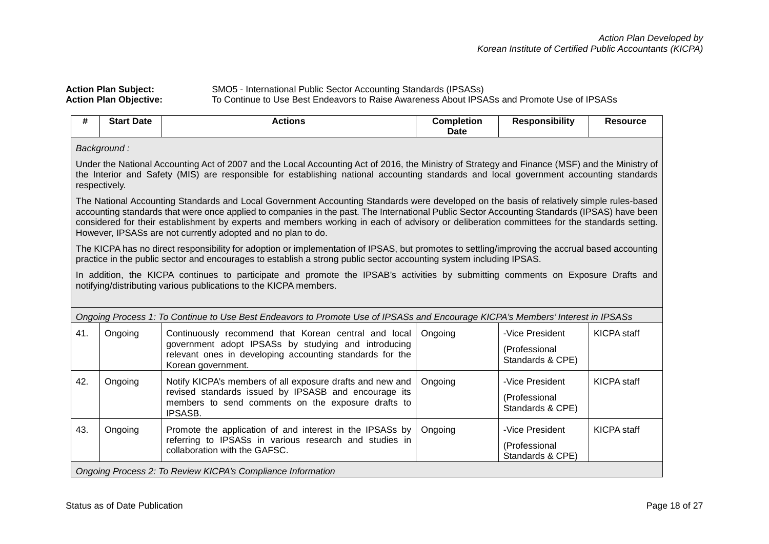| <b>Action Plan Subject:</b>   | SMO5 - International Public Sector Accounting Standards (IPSASs)                            |
|-------------------------------|---------------------------------------------------------------------------------------------|
| <b>Action Plan Objective:</b> | To Continue to Use Best Endeavors to Raise Awareness About IPSASs and Promote Use of IPSASs |

| $\mathbf{u}$<br><b>Completion</b><br>-<br>Star<br>: Date<br>∍sponsibilitv<br>stions<br><br><b>Date</b> | .<br><b>Resourc</b> e |
|--------------------------------------------------------------------------------------------------------|-----------------------|
|--------------------------------------------------------------------------------------------------------|-----------------------|

*Background :*

Under the National Accounting Act of 2007 and the Local Accounting Act of 2016, the Ministry of Strategy and Finance (MSF) and the Ministry of the Interior and Safety (MIS) are responsible for establishing national accounting standards and local government accounting standards respectively.

The National Accounting Standards and Local Government Accounting Standards were developed on the basis of relatively simple rules-based accounting standards that were once applied to companies in the past. The International Public Sector Accounting Standards (IPSAS) have been considered for their establishment by experts and members working in each of advisory or deliberation committees for the standards setting. However, IPSASs are not currently adopted and no plan to do.

The KICPA has no direct responsibility for adoption or implementation of IPSAS, but promotes to settling/improving the accrual based accounting practice in the public sector and encourages to establish a strong public sector accounting system including IPSAS.

In addition, the KICPA continues to participate and promote the IPSAB's activities by submitting comments on Exposure Drafts and notifying/distributing various publications to the KICPA members.

| Ongoing Process 1: To Continue to Use Best Endeavors to Promote Use of IPSASs and Encourage KICPA's Members' Interest in IPSASs |                                                             |                                                                                                                                                                                               |         |                                                      |             |  |
|---------------------------------------------------------------------------------------------------------------------------------|-------------------------------------------------------------|-----------------------------------------------------------------------------------------------------------------------------------------------------------------------------------------------|---------|------------------------------------------------------|-------------|--|
| 41.                                                                                                                             | Ongoing                                                     | Continuously recommend that Korean central and local<br>government adopt IPSASs by studying and introducing<br>relevant ones in developing accounting standards for the<br>Korean government. | Ongoing | -Vice President<br>(Professional<br>Standards & CPE) | KICPA staff |  |
| 42.                                                                                                                             | Ongoing                                                     | Notify KICPA's members of all exposure drafts and new and<br>revised standards issued by IPSASB and encourage its<br>members to send comments on the exposure drafts to<br><b>IPSASB.</b>     | Ongoing | -Vice President<br>(Professional<br>Standards & CPE) | KICPA staff |  |
| 43.                                                                                                                             | Ongoing                                                     | Promote the application of and interest in the IPSASs by<br>referring to IPSASs in various research and studies in<br>collaboration with the GAFSC.                                           | Ongoing | -Vice President<br>(Professional<br>Standards & CPE) | KICPA staff |  |
|                                                                                                                                 | Ongoing Process 2: To Review KICPA's Compliance Information |                                                                                                                                                                                               |         |                                                      |             |  |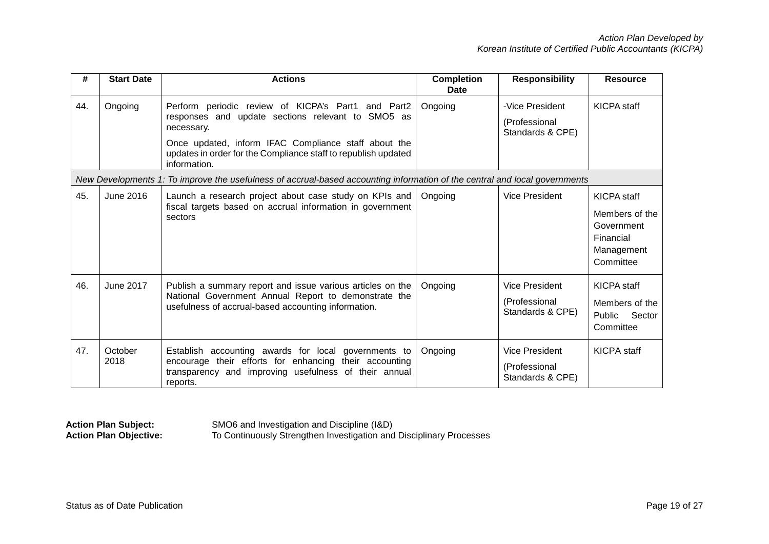| #   | <b>Start Date</b> | <b>Actions</b>                                                                                                                                                                                                                                                  | <b>Completion</b><br>Date | <b>Responsibility</b>                                      | <b>Resource</b>                                                                     |
|-----|-------------------|-----------------------------------------------------------------------------------------------------------------------------------------------------------------------------------------------------------------------------------------------------------------|---------------------------|------------------------------------------------------------|-------------------------------------------------------------------------------------|
| 44. | Ongoing           | Perform periodic review of KICPA's Part1 and Part2<br>responses and update sections relevant to SMO5 as<br>necessary.<br>Once updated, inform IFAC Compliance staff about the<br>updates in order for the Compliance staff to republish updated<br>information. | Ongoing                   | -Vice President<br>(Professional<br>Standards & CPE)       | <b>KICPA</b> staff                                                                  |
|     |                   | New Developments 1: To improve the usefulness of accrual-based accounting information of the central and local governments                                                                                                                                      |                           |                                                            |                                                                                     |
| 45. | June 2016         | Launch a research project about case study on KPIs and<br>fiscal targets based on accrual information in government<br>sectors                                                                                                                                  | Ongoing                   | Vice President                                             | KICPA staff<br>Members of the<br>Government<br>Financial<br>Management<br>Committee |
| 46. | June 2017         | Publish a summary report and issue various articles on the<br>National Government Annual Report to demonstrate the<br>usefulness of accrual-based accounting information.                                                                                       | Ongoing                   | <b>Vice President</b><br>(Professional<br>Standards & CPE) | <b>KICPA</b> staff<br>Members of the<br>Sector<br>Public<br>Committee               |
| 47. | October<br>2018   | Establish accounting awards for local governments to<br>encourage their efforts for enhancing their accounting<br>transparency and improving usefulness of their annual<br>reports.                                                                             | Ongoing                   | Vice President<br>(Professional<br>Standards & CPE)        | KICPA staff                                                                         |

**Action Plan Subject:** SMO6 and Investigation and Discipline (I&D) **Action Plan Objective:** To Continuously Strengthen Investigation and Disciplinary Processes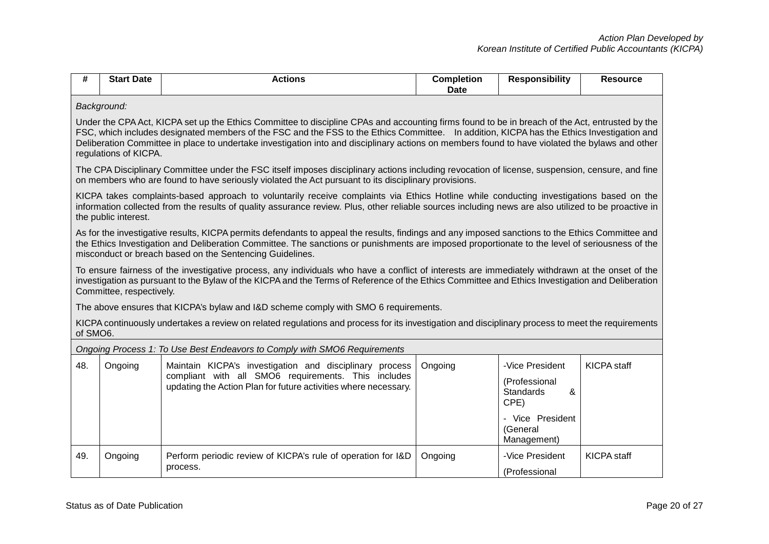|  | — Star⊾<br>-<br>∶ Date | ctions | <b>Completion</b><br><b>Date</b> | <b>onsibility</b><br>Re | Pesource |
|--|------------------------|--------|----------------------------------|-------------------------|----------|
|--|------------------------|--------|----------------------------------|-------------------------|----------|

*Background:*

Under the CPA Act, KICPA set up the Ethics Committee to discipline CPAs and accounting firms found to be in breach of the Act, entrusted by the FSC, which includes designated members of the FSC and the FSS to the Ethics Committee. In addition, KICPA has the Ethics Investigation and Deliberation Committee in place to undertake investigation into and disciplinary actions on members found to have violated the bylaws and other regulations of KICPA.

The CPA Disciplinary Committee under the FSC itself imposes disciplinary actions including revocation of license, suspension, censure, and fine on members who are found to have seriously violated the Act pursuant to its disciplinary provisions.

KICPA takes complaints-based approach to voluntarily receive complaints via Ethics Hotline while conducting investigations based on the information collected from the results of quality assurance review. Plus, other reliable sources including news are also utilized to be proactive in the public interest.

As for the investigative results, KICPA permits defendants to appeal the results, findings and any imposed sanctions to the Ethics Committee and the Ethics Investigation and Deliberation Committee. The sanctions or punishments are imposed proportionate to the level of seriousness of the misconduct or breach based on the Sentencing Guidelines.

To ensure fairness of the investigative process, any individuals who have a conflict of interests are immediately withdrawn at the onset of the investigation as pursuant to the Bylaw of the KICPA and the Terms of Reference of the Ethics Committee and Ethics Investigation and Deliberation Committee, respectively.

The above ensures that KICPA's bylaw and I&D scheme comply with SMO 6 requirements.

KICPA continuously undertakes a review on related regulations and process for its investigation and disciplinary process to meet the requirements of SMO6.

|     | Ongoing Process 1: To Use Best Endeavors to Comply with SMO6 Requirements |                                                                                                                                                                                   |         |                                                                                                           |                    |  |  |  |
|-----|---------------------------------------------------------------------------|-----------------------------------------------------------------------------------------------------------------------------------------------------------------------------------|---------|-----------------------------------------------------------------------------------------------------------|--------------------|--|--|--|
| 48. | Ongoing                                                                   | Maintain KICPA's investigation and disciplinary process<br>compliant with all SMO6 requirements. This includes<br>updating the Action Plan for future activities where necessary. | Ongoing | -Vice President<br>(Professional<br>Standards<br>&<br>CPE)<br>- Vice President<br>(General<br>Management) | <b>KICPA</b> staff |  |  |  |
| 49. | Ongoing                                                                   | Perform periodic review of KICPA's rule of operation for I&D<br>process.                                                                                                          | Ongoing | -Vice President<br>(Professional                                                                          | KICPA staff        |  |  |  |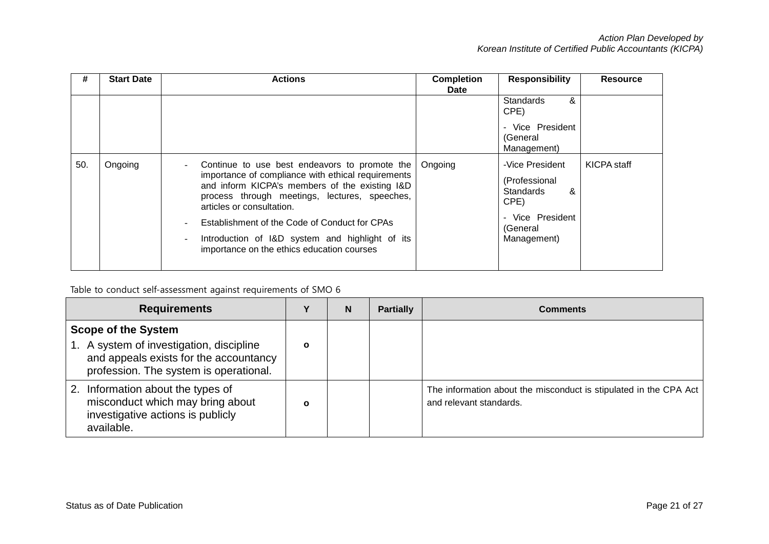| #   | <b>Start Date</b> | <b>Actions</b>                                                                                                                                                                                                                                                                                                                                                                        | <b>Completion</b><br><b>Date</b> | <b>Responsibility</b>                                                                                            | <b>Resource</b> |
|-----|-------------------|---------------------------------------------------------------------------------------------------------------------------------------------------------------------------------------------------------------------------------------------------------------------------------------------------------------------------------------------------------------------------------------|----------------------------------|------------------------------------------------------------------------------------------------------------------|-----------------|
|     |                   |                                                                                                                                                                                                                                                                                                                                                                                       |                                  | &<br><b>Standards</b><br>CPE)                                                                                    |                 |
|     |                   |                                                                                                                                                                                                                                                                                                                                                                                       |                                  | - Vice President<br>(General<br>Management)                                                                      |                 |
| 50. | Ongoing           | Continue to use best endeavors to promote the<br>importance of compliance with ethical requirements<br>and inform KICPA's members of the existing I&D<br>process through meetings, lectures, speeches,<br>articles or consultation.<br>Establishment of the Code of Conduct for CPAs<br>Introduction of I&D system and highlight of its<br>importance on the ethics education courses | Ongoing                          | -Vice President<br>(Professional<br><b>Standards</b><br>&<br>CPE)<br>- Vice President<br>(General<br>Management) | KICPA staff     |

# Table to conduct self-assessment against requirements of SMO 6

| <b>Requirements</b>                                                                                                                                        |              | N | <b>Partially</b> | <b>Comments</b>                                                                              |
|------------------------------------------------------------------------------------------------------------------------------------------------------------|--------------|---|------------------|----------------------------------------------------------------------------------------------|
| <b>Scope of the System</b><br>1. A system of investigation, discipline<br>and appeals exists for the accountancy<br>profession. The system is operational. | $\mathbf{o}$ |   |                  |                                                                                              |
| Information about the types of<br>2.<br>misconduct which may bring about<br>investigative actions is publicly<br>available.                                | $\mathbf{o}$ |   |                  | The information about the misconduct is stipulated in the CPA Act<br>and relevant standards. |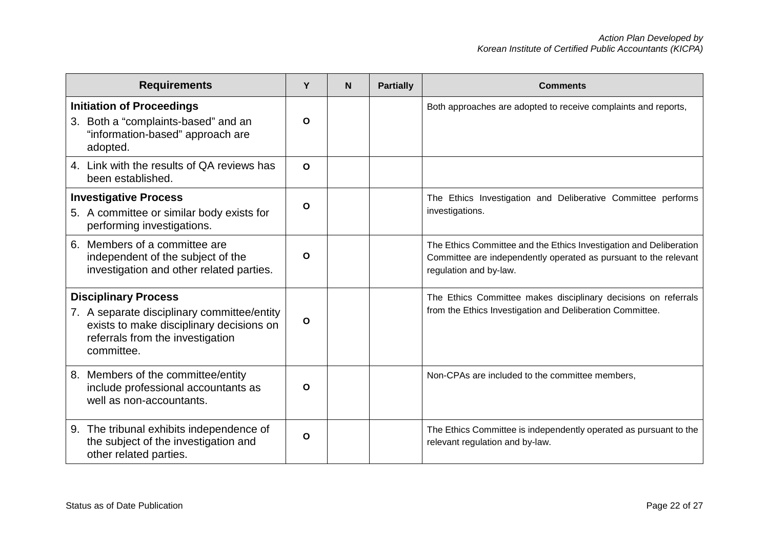| <b>Requirements</b>                                                                                                                                                      | Υ            | N | <b>Partially</b> | <b>Comments</b>                                                                                                                                                  |
|--------------------------------------------------------------------------------------------------------------------------------------------------------------------------|--------------|---|------------------|------------------------------------------------------------------------------------------------------------------------------------------------------------------|
| <b>Initiation of Proceedings</b><br>3. Both a "complaints-based" and an<br>"information-based" approach are<br>adopted.                                                  | O            |   |                  | Both approaches are adopted to receive complaints and reports,                                                                                                   |
| 4. Link with the results of QA reviews has<br>been established.                                                                                                          | $\mathbf{o}$ |   |                  |                                                                                                                                                                  |
| <b>Investigative Process</b><br>5. A committee or similar body exists for<br>performing investigations.                                                                  | O            |   |                  | The Ethics Investigation and Deliberative Committee performs<br>investigations.                                                                                  |
| 6. Members of a committee are<br>independent of the subject of the<br>investigation and other related parties.                                                           | O            |   |                  | The Ethics Committee and the Ethics Investigation and Deliberation<br>Committee are independently operated as pursuant to the relevant<br>regulation and by-law. |
| <b>Disciplinary Process</b><br>7. A separate disciplinary committee/entity<br>exists to make disciplinary decisions on<br>referrals from the investigation<br>committee. | $\mathbf{o}$ |   |                  | The Ethics Committee makes disciplinary decisions on referrals<br>from the Ethics Investigation and Deliberation Committee.                                      |
| 8. Members of the committee/entity<br>include professional accountants as<br>well as non-accountants.                                                                    | O            |   |                  | Non-CPAs are included to the committee members,                                                                                                                  |
| 9. The tribunal exhibits independence of<br>the subject of the investigation and<br>other related parties.                                                               | O            |   |                  | The Ethics Committee is independently operated as pursuant to the<br>relevant regulation and by-law.                                                             |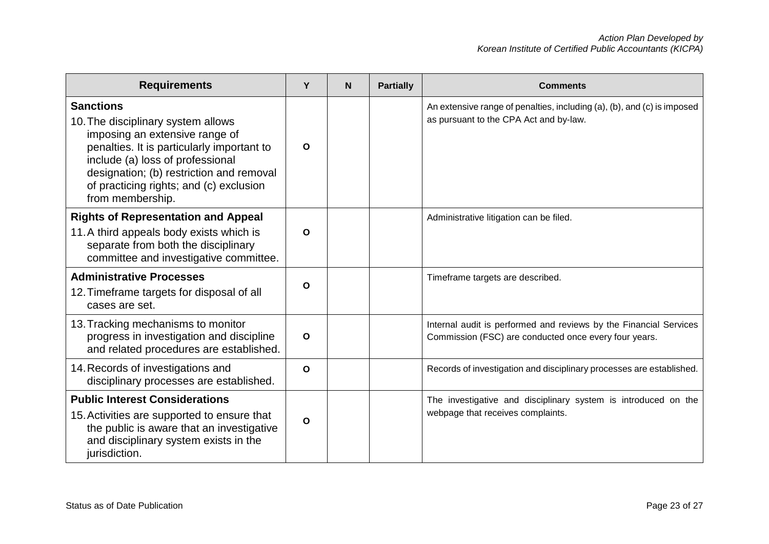| <b>Requirements</b>                                                                                                                                                                                                                                                                   | Y            | N | <b>Partially</b> | <b>Comments</b>                                                                                                            |
|---------------------------------------------------------------------------------------------------------------------------------------------------------------------------------------------------------------------------------------------------------------------------------------|--------------|---|------------------|----------------------------------------------------------------------------------------------------------------------------|
| <b>Sanctions</b><br>10. The disciplinary system allows<br>imposing an extensive range of<br>penalties. It is particularly important to<br>include (a) loss of professional<br>designation; (b) restriction and removal<br>of practicing rights; and (c) exclusion<br>from membership. | O            |   |                  | An extensive range of penalties, including (a), (b), and (c) is imposed<br>as pursuant to the CPA Act and by-law.          |
| <b>Rights of Representation and Appeal</b><br>11. A third appeals body exists which is<br>separate from both the disciplinary<br>committee and investigative committee.                                                                                                               | $\mathbf{o}$ |   |                  | Administrative litigation can be filed.                                                                                    |
| <b>Administrative Processes</b><br>12. Timeframe targets for disposal of all<br>cases are set.                                                                                                                                                                                        | $\mathbf{o}$ |   |                  | Timeframe targets are described.                                                                                           |
| 13. Tracking mechanisms to monitor<br>progress in investigation and discipline<br>and related procedures are established.                                                                                                                                                             | $\mathbf{o}$ |   |                  | Internal audit is performed and reviews by the Financial Services<br>Commission (FSC) are conducted once every four years. |
| 14. Records of investigations and<br>disciplinary processes are established.                                                                                                                                                                                                          | $\mathbf{o}$ |   |                  | Records of investigation and disciplinary processes are established.                                                       |
| <b>Public Interest Considerations</b><br>15. Activities are supported to ensure that<br>the public is aware that an investigative<br>and disciplinary system exists in the<br>jurisdiction.                                                                                           | $\Omega$     |   |                  | The investigative and disciplinary system is introduced on the<br>webpage that receives complaints.                        |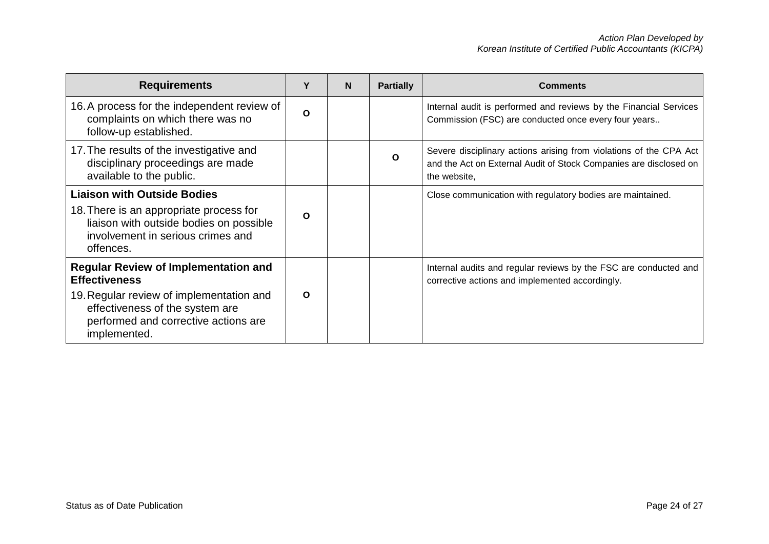| <b>Requirements</b>                                                                                                                  | Υ        | N | <b>Partially</b> | <b>Comments</b>                                                                                                                                         |
|--------------------------------------------------------------------------------------------------------------------------------------|----------|---|------------------|---------------------------------------------------------------------------------------------------------------------------------------------------------|
| 16. A process for the independent review of<br>complaints on which there was no<br>follow-up established.                            | $\Omega$ |   |                  | Internal audit is performed and reviews by the Financial Services<br>Commission (FSC) are conducted once every four years                               |
| 17. The results of the investigative and<br>disciplinary proceedings are made<br>available to the public.                            |          |   | O                | Severe disciplinary actions arising from violations of the CPA Act<br>and the Act on External Audit of Stock Companies are disclosed on<br>the website, |
| <b>Liaison with Outside Bodies</b>                                                                                                   |          |   |                  | Close communication with regulatory bodies are maintained.                                                                                              |
| 18. There is an appropriate process for<br>liaison with outside bodies on possible<br>involvement in serious crimes and<br>offences. | O        |   |                  |                                                                                                                                                         |
| <b>Regular Review of Implementation and</b><br><b>Effectiveness</b>                                                                  |          |   |                  | Internal audits and regular reviews by the FSC are conducted and<br>corrective actions and implemented accordingly.                                     |
| 19. Regular review of implementation and<br>effectiveness of the system are<br>performed and corrective actions are<br>implemented.  | $\Omega$ |   |                  |                                                                                                                                                         |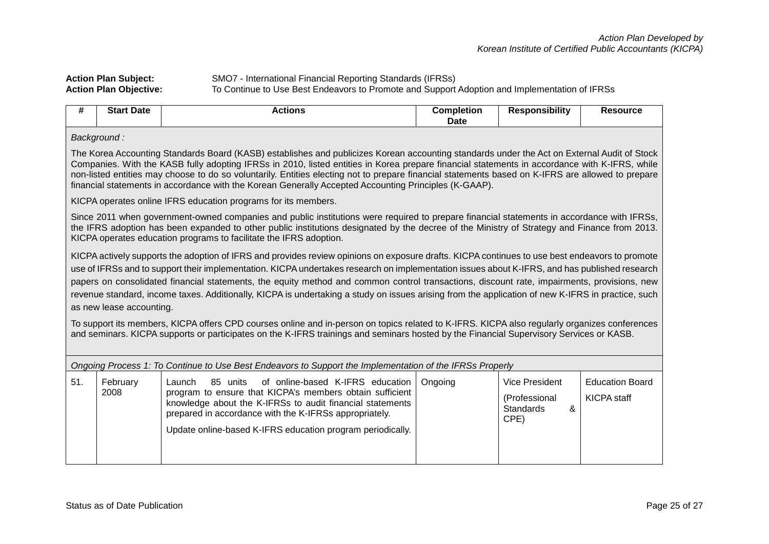## **Action Plan Subject:** SMO7 - International Financial Reporting Standards (IFRSs) **Action Plan Objective:** To Continue to Use Best Endeavors to Promote and Support Adoption and Implementation of IFRSs

| #   | <b>Start Date</b>                                                                                                                                                                                                                                                                                                                                                                                                                                                                                                                                                                                                               | <b>Actions</b>                                                                                                                                                                                                                                                                                                                                                   | <b>Completion</b><br>Date | <b>Responsibility</b>                          | <b>Resource</b>        |  |  |  |  |
|-----|---------------------------------------------------------------------------------------------------------------------------------------------------------------------------------------------------------------------------------------------------------------------------------------------------------------------------------------------------------------------------------------------------------------------------------------------------------------------------------------------------------------------------------------------------------------------------------------------------------------------------------|------------------------------------------------------------------------------------------------------------------------------------------------------------------------------------------------------------------------------------------------------------------------------------------------------------------------------------------------------------------|---------------------------|------------------------------------------------|------------------------|--|--|--|--|
|     | Background:                                                                                                                                                                                                                                                                                                                                                                                                                                                                                                                                                                                                                     |                                                                                                                                                                                                                                                                                                                                                                  |                           |                                                |                        |  |  |  |  |
|     | The Korea Accounting Standards Board (KASB) establishes and publicizes Korean accounting standards under the Act on External Audit of Stock<br>Companies. With the KASB fully adopting IFRSs in 2010, listed entities in Korea prepare financial statements in accordance with K-IFRS, while<br>non-listed entities may choose to do so voluntarily. Entities electing not to prepare financial statements based on K-IFRS are allowed to prepare<br>financial statements in accordance with the Korean Generally Accepted Accounting Principles (K-GAAP).                                                                      |                                                                                                                                                                                                                                                                                                                                                                  |                           |                                                |                        |  |  |  |  |
|     |                                                                                                                                                                                                                                                                                                                                                                                                                                                                                                                                                                                                                                 | KICPA operates online IFRS education programs for its members.                                                                                                                                                                                                                                                                                                   |                           |                                                |                        |  |  |  |  |
|     |                                                                                                                                                                                                                                                                                                                                                                                                                                                                                                                                                                                                                                 | Since 2011 when government-owned companies and public institutions were required to prepare financial statements in accordance with IFRSs,<br>the IFRS adoption has been expanded to other public institutions designated by the decree of the Ministry of Strategy and Finance from 2013.<br>KICPA operates education programs to facilitate the IFRS adoption. |                           |                                                |                        |  |  |  |  |
|     | KICPA actively supports the adoption of IFRS and provides review opinions on exposure drafts. KICPA continues to use best endeavors to promote<br>use of IFRSs and to support their implementation. KICPA undertakes research on implementation issues about K-IFRS, and has published research<br>papers on consolidated financial statements, the equity method and common control transactions, discount rate, impairments, provisions, new<br>revenue standard, income taxes. Additionally, KICPA is undertaking a study on issues arising from the application of new K-IFRS in practice, such<br>as new lease accounting. |                                                                                                                                                                                                                                                                                                                                                                  |                           |                                                |                        |  |  |  |  |
|     | To support its members, KICPA offers CPD courses online and in-person on topics related to K-IFRS. KICPA also regularly organizes conferences<br>and seminars. KICPA supports or participates on the K-IFRS trainings and seminars hosted by the Financial Supervisory Services or KASB.                                                                                                                                                                                                                                                                                                                                        |                                                                                                                                                                                                                                                                                                                                                                  |                           |                                                |                        |  |  |  |  |
|     | Ongoing Process 1: To Continue to Use Best Endeavors to Support the Implementation of the IFRSs Properly                                                                                                                                                                                                                                                                                                                                                                                                                                                                                                                        |                                                                                                                                                                                                                                                                                                                                                                  |                           |                                                |                        |  |  |  |  |
| 51. | February                                                                                                                                                                                                                                                                                                                                                                                                                                                                                                                                                                                                                        | of online-based K-IFRS education<br>85 units<br>Launch                                                                                                                                                                                                                                                                                                           | Ongoing                   | Vice President                                 | <b>Education Board</b> |  |  |  |  |
|     | 2008                                                                                                                                                                                                                                                                                                                                                                                                                                                                                                                                                                                                                            | program to ensure that KICPA's members obtain sufficient<br>knowledge about the K-IFRSs to audit financial statements<br>prepared in accordance with the K-IFRSs appropriately.                                                                                                                                                                                  |                           | (Professional<br>&<br><b>Standards</b><br>CPE) | <b>KICPA</b> staff     |  |  |  |  |
|     |                                                                                                                                                                                                                                                                                                                                                                                                                                                                                                                                                                                                                                 | Update online-based K-IFRS education program periodically.                                                                                                                                                                                                                                                                                                       |                           |                                                |                        |  |  |  |  |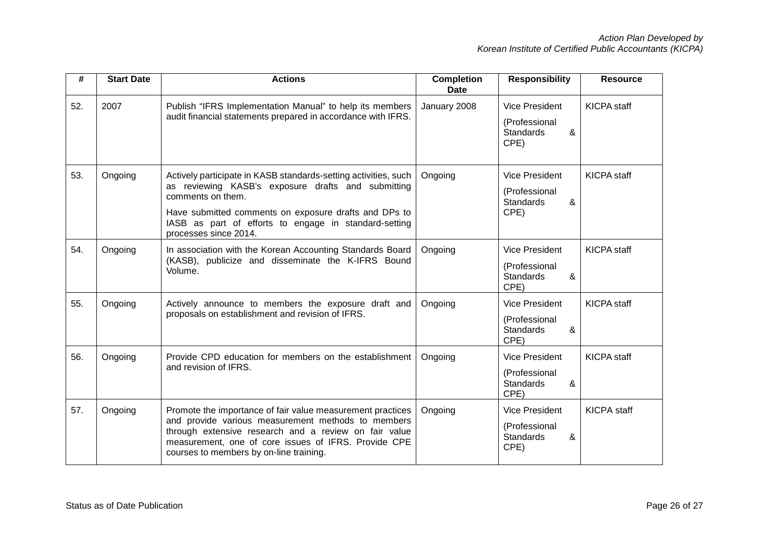| #   | <b>Start Date</b> | <b>Actions</b>                                                                                                                                                                                                                                                                        | <b>Completion</b><br><b>Date</b> | <b>Responsibility</b>                                                   | <b>Resource</b>    |
|-----|-------------------|---------------------------------------------------------------------------------------------------------------------------------------------------------------------------------------------------------------------------------------------------------------------------------------|----------------------------------|-------------------------------------------------------------------------|--------------------|
| 52. | 2007              | Publish "IFRS Implementation Manual" to help its members<br>audit financial statements prepared in accordance with IFRS.                                                                                                                                                              | January 2008                     | <b>Vice President</b><br>(Professional<br>&<br><b>Standards</b><br>CPE) | <b>KICPA</b> staff |
| 53. | Ongoing           | Actively participate in KASB standards-setting activities, such<br>as reviewing KASB's exposure drafts and submitting<br>comments on them.<br>Have submitted comments on exposure drafts and DPs to<br>IASB as part of efforts to engage in standard-setting<br>processes since 2014. | Ongoing                          | <b>Vice President</b><br>(Professional<br><b>Standards</b><br>&<br>CPE) | <b>KICPA</b> staff |
| 54. | Ongoing           | In association with the Korean Accounting Standards Board<br>(KASB), publicize and disseminate the K-IFRS Bound<br>Volume.                                                                                                                                                            | Ongoing                          | <b>Vice President</b><br>(Professional<br><b>Standards</b><br>&<br>CPE) | <b>KICPA</b> staff |
| 55. | Ongoing           | Actively announce to members the exposure draft and<br>proposals on establishment and revision of IFRS.                                                                                                                                                                               | Ongoing                          | <b>Vice President</b><br>(Professional<br><b>Standards</b><br>&<br>CPE) | <b>KICPA</b> staff |
| 56. | Ongoing           | Provide CPD education for members on the establishment<br>and revision of IFRS.                                                                                                                                                                                                       | Ongoing                          | <b>Vice President</b><br>(Professional<br><b>Standards</b><br>&<br>CPE) | <b>KICPA</b> staff |
| 57. | Ongoing           | Promote the importance of fair value measurement practices<br>and provide various measurement methods to members<br>through extensive research and a review on fair value<br>measurement, one of core issues of IFRS. Provide CPE<br>courses to members by on-line training.          | Ongoing                          | <b>Vice President</b><br>(Professional<br><b>Standards</b><br>&<br>CPE) | <b>KICPA</b> staff |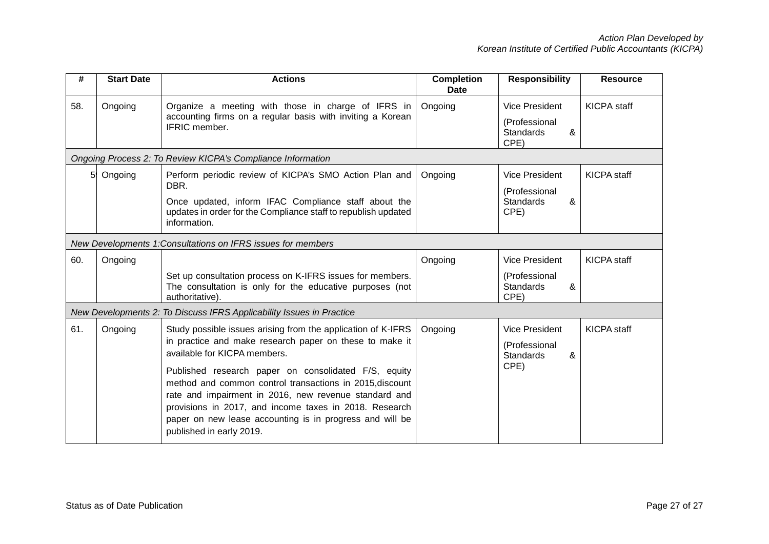| #   | <b>Start Date</b> | <b>Actions</b>                                                                                                                                                                                                                                                                                                              | <b>Completion</b><br><b>Date</b> | <b>Responsibility</b>                          | <b>Resource</b>    |
|-----|-------------------|-----------------------------------------------------------------------------------------------------------------------------------------------------------------------------------------------------------------------------------------------------------------------------------------------------------------------------|----------------------------------|------------------------------------------------|--------------------|
| 58. | Ongoing           | Organize a meeting with those in charge of IFRS in<br>accounting firms on a regular basis with inviting a Korean<br>IFRIC member.                                                                                                                                                                                           | Ongoing                          | <b>Vice President</b><br>(Professional         | <b>KICPA</b> staff |
|     |                   |                                                                                                                                                                                                                                                                                                                             |                                  | &<br><b>Standards</b><br>CPE)                  |                    |
|     |                   | Ongoing Process 2: To Review KICPA's Compliance Information                                                                                                                                                                                                                                                                 |                                  |                                                |                    |
| 59  | Ongoing           | Perform periodic review of KICPA's SMO Action Plan and<br>DBR.                                                                                                                                                                                                                                                              | Ongoing                          | <b>Vice President</b>                          | <b>KICPA</b> staff |
|     |                   | Once updated, inform IFAC Compliance staff about the<br>updates in order for the Compliance staff to republish updated<br>information.                                                                                                                                                                                      |                                  | (Professional<br><b>Standards</b><br>&<br>CPE) |                    |
|     |                   | New Developments 1: Consultations on IFRS issues for members                                                                                                                                                                                                                                                                |                                  |                                                |                    |
| 60. | Ongoing           |                                                                                                                                                                                                                                                                                                                             | Ongoing                          | <b>Vice President</b>                          | <b>KICPA</b> staff |
|     |                   | Set up consultation process on K-IFRS issues for members.<br>The consultation is only for the educative purposes (not<br>authoritative).                                                                                                                                                                                    |                                  | (Professional<br><b>Standards</b><br>&<br>CPE) |                    |
|     |                   | New Developments 2: To Discuss IFRS Applicability Issues in Practice                                                                                                                                                                                                                                                        |                                  |                                                |                    |
| 61. | Ongoing           | Study possible issues arising from the application of K-IFRS                                                                                                                                                                                                                                                                | Ongoing                          | <b>Vice President</b>                          | <b>KICPA</b> staff |
|     |                   | in practice and make research paper on these to make it<br>available for KICPA members.                                                                                                                                                                                                                                     |                                  | (Professional<br>&<br><b>Standards</b>         |                    |
|     |                   | Published research paper on consolidated F/S, equity<br>method and common control transactions in 2015, discount<br>rate and impairment in 2016, new revenue standard and<br>provisions in 2017, and income taxes in 2018. Research<br>paper on new lease accounting is in progress and will be<br>published in early 2019. |                                  | CPE)                                           |                    |